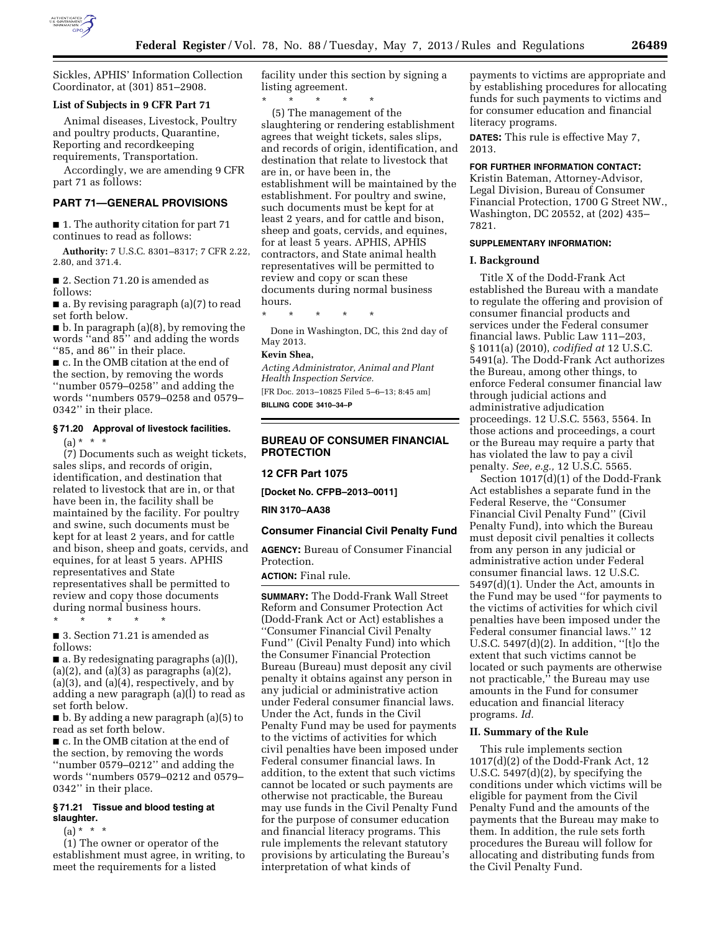

Sickles, APHIS' Information Collection Coordinator, at (301) 851–2908.

## **List of Subjects in 9 CFR Part 71**

Animal diseases, Livestock, Poultry and poultry products, Quarantine, Reporting and recordkeeping requirements, Transportation.

Accordingly, we are amending 9 CFR part 71 as follows:

## **PART 71—GENERAL PROVISIONS**

■ 1. The authority citation for part 71 continues to read as follows:

**Authority:** 7 U.S.C. 8301–8317; 7 CFR 2.22, 2.80, and 371.4.

■ 2. Section 71.20 is amended as follows:

■ a. By revising paragraph (a)(7) to read set forth below.

■ b. In paragraph (a)(8), by removing the words ''and 85'' and adding the words ''85, and 86'' in their place.

■ c. In the OMB citation at the end of the section, by removing the words ''number 0579–0258'' and adding the words ''numbers 0579–0258 and 0579– 0342'' in their place.

## **§ 71.20 Approval of livestock facilities.**

 $(a) * * * *$ 

(7) Documents such as weight tickets, sales slips, and records of origin, identification, and destination that related to livestock that are in, or that have been in, the facility shall be maintained by the facility. For poultry and swine, such documents must be kept for at least 2 years, and for cattle and bison, sheep and goats, cervids, and equines, for at least 5 years. APHIS representatives and State representatives shall be permitted to review and copy those documents during normal business hours.

■ 3. Section 71.21 is amended as follows:

\* \* \* \* \*

■ a. By redesignating paragraphs (a)(l),  $(a)(2)$ , and  $(a)(3)$  as paragraphs  $(a)(2)$ , (a)(3), and (a)(4), respectively, and by adding a new paragraph (a)(l) to read as set forth below.

■ b. By adding a new paragraph (a)(5) to read as set forth below.

■ c. In the OMB citation at the end of the section, by removing the words ''number 0579–0212'' and adding the words ''numbers 0579–0212 and 0579– 0342'' in their place.

## **§ 71.21 Tissue and blood testing at slaughter.**

 $(a) * * * *$ 

(1) The owner or operator of the establishment must agree, in writing, to meet the requirements for a listed

facility under this section by signing a listing agreement.

\* \* \* \* \*

(5) The management of the slaughtering or rendering establishment agrees that weight tickets, sales slips, and records of origin, identification, and destination that relate to livestock that are in, or have been in, the establishment will be maintained by the establishment. For poultry and swine, such documents must be kept for at least 2 years, and for cattle and bison, sheep and goats, cervids, and equines, for at least 5 years. APHIS, APHIS contractors, and State animal health representatives will be permitted to review and copy or scan these documents during normal business hours.

\* \* \* \* \*

Done in Washington, DC, this 2nd day of May 2013.

## **Kevin Shea,**

*Acting Administrator, Animal and Plant Health Inspection Service.* 

[FR Doc. 2013–10825 Filed 5–6–13; 8:45 am] **BILLING CODE 3410–34–P** 

## **BUREAU OF CONSUMER FINANCIAL PROTECTION**

#### **12 CFR Part 1075**

**[Docket No. CFPB–2013–0011]** 

**RIN 3170–AA38** 

#### **Consumer Financial Civil Penalty Fund**

**AGENCY:** Bureau of Consumer Financial Protection.

# **ACTION:** Final rule.

**SUMMARY:** The Dodd-Frank Wall Street Reform and Consumer Protection Act (Dodd-Frank Act or Act) establishes a ''Consumer Financial Civil Penalty Fund'' (Civil Penalty Fund) into which the Consumer Financial Protection Bureau (Bureau) must deposit any civil penalty it obtains against any person in any judicial or administrative action under Federal consumer financial laws. Under the Act, funds in the Civil Penalty Fund may be used for payments to the victims of activities for which civil penalties have been imposed under Federal consumer financial laws. In addition, to the extent that such victims cannot be located or such payments are otherwise not practicable, the Bureau may use funds in the Civil Penalty Fund for the purpose of consumer education and financial literacy programs. This rule implements the relevant statutory provisions by articulating the Bureau's interpretation of what kinds of

payments to victims are appropriate and by establishing procedures for allocating funds for such payments to victims and for consumer education and financial literacy programs.

**DATES:** This rule is effective May 7, 2013.

#### **FOR FURTHER INFORMATION CONTACT:**

Kristin Bateman, Attorney-Advisor, Legal Division, Bureau of Consumer Financial Protection, 1700 G Street NW., Washington, DC 20552, at (202) 435– 7821.

#### **SUPPLEMENTARY INFORMATION:**

### **I. Background**

Title X of the Dodd-Frank Act established the Bureau with a mandate to regulate the offering and provision of consumer financial products and services under the Federal consumer financial laws. Public Law 111–203, § 1011(a) (2010), *codified at* 12 U.S.C. 5491(a). The Dodd-Frank Act authorizes the Bureau, among other things, to enforce Federal consumer financial law through judicial actions and administrative adjudication proceedings. 12 U.S.C. 5563, 5564. In those actions and proceedings, a court or the Bureau may require a party that has violated the law to pay a civil penalty. *See, e.g.,* 12 U.S.C. 5565.

Section 1017(d)(1) of the Dodd-Frank Act establishes a separate fund in the Federal Reserve, the ''Consumer Financial Civil Penalty Fund'' (Civil Penalty Fund), into which the Bureau must deposit civil penalties it collects from any person in any judicial or administrative action under Federal consumer financial laws. 12 U.S.C. 5497(d)(1). Under the Act, amounts in the Fund may be used ''for payments to the victims of activities for which civil penalties have been imposed under the Federal consumer financial laws.'' 12 U.S.C. 5497(d)(2). In addition, ''[t]o the extent that such victims cannot be located or such payments are otherwise not practicable,'' the Bureau may use amounts in the Fund for consumer education and financial literacy programs. *Id.* 

#### **II. Summary of the Rule**

This rule implements section 1017(d)(2) of the Dodd-Frank Act, 12 U.S.C. 5497(d)(2), by specifying the conditions under which victims will be eligible for payment from the Civil Penalty Fund and the amounts of the payments that the Bureau may make to them. In addition, the rule sets forth procedures the Bureau will follow for allocating and distributing funds from the Civil Penalty Fund.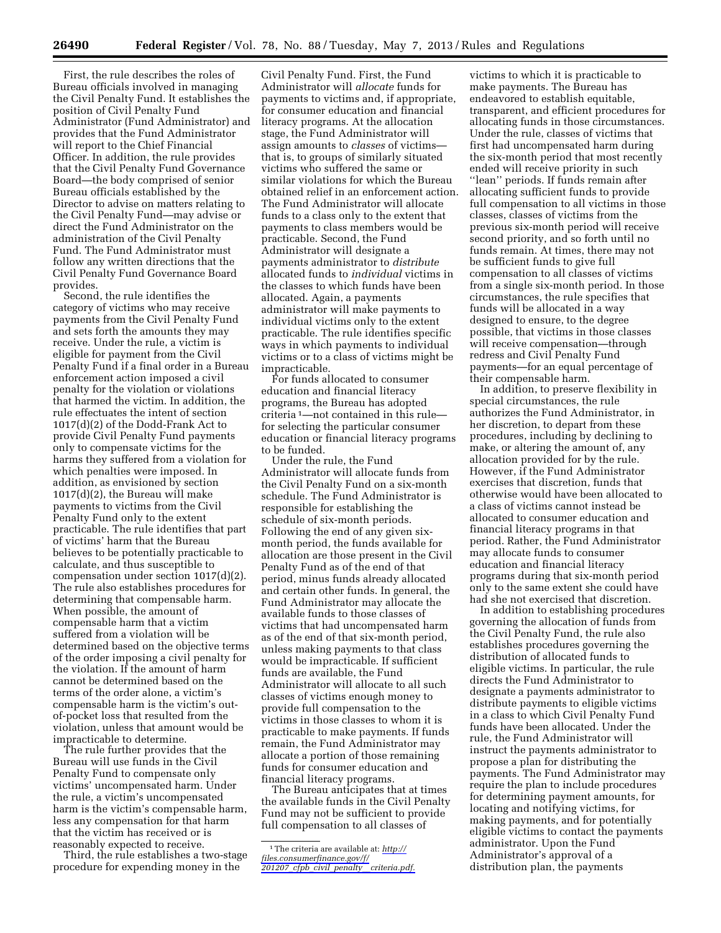First, the rule describes the roles of Bureau officials involved in managing the Civil Penalty Fund. It establishes the position of Civil Penalty Fund Administrator (Fund Administrator) and provides that the Fund Administrator will report to the Chief Financial Officer. In addition, the rule provides that the Civil Penalty Fund Governance Board—the body comprised of senior Bureau officials established by the Director to advise on matters relating to the Civil Penalty Fund—may advise or direct the Fund Administrator on the administration of the Civil Penalty Fund. The Fund Administrator must follow any written directions that the Civil Penalty Fund Governance Board provides.

Second, the rule identifies the category of victims who may receive payments from the Civil Penalty Fund and sets forth the amounts they may receive. Under the rule, a victim is eligible for payment from the Civil Penalty Fund if a final order in a Bureau enforcement action imposed a civil penalty for the violation or violations that harmed the victim. In addition, the rule effectuates the intent of section 1017(d)(2) of the Dodd-Frank Act to provide Civil Penalty Fund payments only to compensate victims for the harms they suffered from a violation for which penalties were imposed. In addition, as envisioned by section 1017(d)(2), the Bureau will make payments to victims from the Civil Penalty Fund only to the extent practicable. The rule identifies that part of victims' harm that the Bureau believes to be potentially practicable to calculate, and thus susceptible to compensation under section 1017(d)(2). The rule also establishes procedures for determining that compensable harm. When possible, the amount of compensable harm that a victim suffered from a violation will be determined based on the objective terms of the order imposing a civil penalty for the violation. If the amount of harm cannot be determined based on the terms of the order alone, a victim's compensable harm is the victim's outof-pocket loss that resulted from the violation, unless that amount would be impracticable to determine.

The rule further provides that the Bureau will use funds in the Civil Penalty Fund to compensate only victims' uncompensated harm. Under the rule, a victim's uncompensated harm is the victim's compensable harm, less any compensation for that harm that the victim has received or is reasonably expected to receive.

Third, the rule establishes a two-stage procedure for expending money in the

Civil Penalty Fund. First, the Fund Administrator will *allocate* funds for payments to victims and, if appropriate, for consumer education and financial literacy programs. At the allocation stage, the Fund Administrator will assign amounts to *classes* of victims that is, to groups of similarly situated victims who suffered the same or similar violations for which the Bureau obtained relief in an enforcement action. The Fund Administrator will allocate funds to a class only to the extent that payments to class members would be practicable. Second, the Fund Administrator will designate a payments administrator to *distribute*  allocated funds to *individual* victims in the classes to which funds have been allocated. Again, a payments administrator will make payments to individual victims only to the extent practicable. The rule identifies specific ways in which payments to individual victims or to a class of victims might be impracticable.

For funds allocated to consumer education and financial literacy programs, the Bureau has adopted criteria 1—not contained in this rule for selecting the particular consumer education or financial literacy programs to be funded.

Under the rule, the Fund Administrator will allocate funds from the Civil Penalty Fund on a six-month schedule. The Fund Administrator is responsible for establishing the schedule of six-month periods. Following the end of any given sixmonth period, the funds available for allocation are those present in the Civil Penalty Fund as of the end of that period, minus funds already allocated and certain other funds. In general, the Fund Administrator may allocate the available funds to those classes of victims that had uncompensated harm as of the end of that six-month period, unless making payments to that class would be impracticable. If sufficient funds are available, the Fund Administrator will allocate to all such classes of victims enough money to provide full compensation to the victims in those classes to whom it is practicable to make payments. If funds remain, the Fund Administrator may allocate a portion of those remaining funds for consumer education and financial literacy programs.

The Bureau anticipates that at times the available funds in the Civil Penalty Fund may not be sufficient to provide full compensation to all classes of

victims to which it is practicable to make payments. The Bureau has endeavored to establish equitable, transparent, and efficient procedures for allocating funds in those circumstances. Under the rule, classes of victims that first had uncompensated harm during the six-month period that most recently ended will receive priority in such ''lean'' periods. If funds remain after allocating sufficient funds to provide full compensation to all victims in those classes, classes of victims from the previous six-month period will receive second priority, and so forth until no funds remain. At times, there may not be sufficient funds to give full compensation to all classes of victims from a single six-month period. In those circumstances, the rule specifies that funds will be allocated in a way designed to ensure, to the degree possible, that victims in those classes will receive compensation—through redress and Civil Penalty Fund payments—for an equal percentage of their compensable harm.

In addition, to preserve flexibility in special circumstances, the rule authorizes the Fund Administrator, in her discretion, to depart from these procedures, including by declining to make, or altering the amount of, any allocation provided for by the rule. However, if the Fund Administrator exercises that discretion, funds that otherwise would have been allocated to a class of victims cannot instead be allocated to consumer education and financial literacy programs in that period. Rather, the Fund Administrator may allocate funds to consumer education and financial literacy programs during that six-month period only to the same extent she could have had she not exercised that discretion.

In addition to establishing procedures governing the allocation of funds from the Civil Penalty Fund, the rule also establishes procedures governing the distribution of allocated funds to eligible victims. In particular, the rule directs the Fund Administrator to designate a payments administrator to distribute payments to eligible victims in a class to which Civil Penalty Fund funds have been allocated. Under the rule, the Fund Administrator will instruct the payments administrator to propose a plan for distributing the payments. The Fund Administrator may require the plan to include procedures for determining payment amounts, for locating and notifying victims, for making payments, and for potentially eligible victims to contact the payments administrator. Upon the Fund Administrator's approval of a distribution plan, the payments

<sup>1</sup>The criteria are available at: *[http://](http://files.consumerfinance.gov/f/201207_cfpb_civil_penalty__criteria.pdf) [files.consumerfinance.gov/f/](http://files.consumerfinance.gov/f/201207_cfpb_civil_penalty__criteria.pdf)  201207*\_*cfpb*\_*civil*\_*penalty*\_\_*[criteria.pdf.](http://files.consumerfinance.gov/f/201207_cfpb_civil_penalty__criteria.pdf)*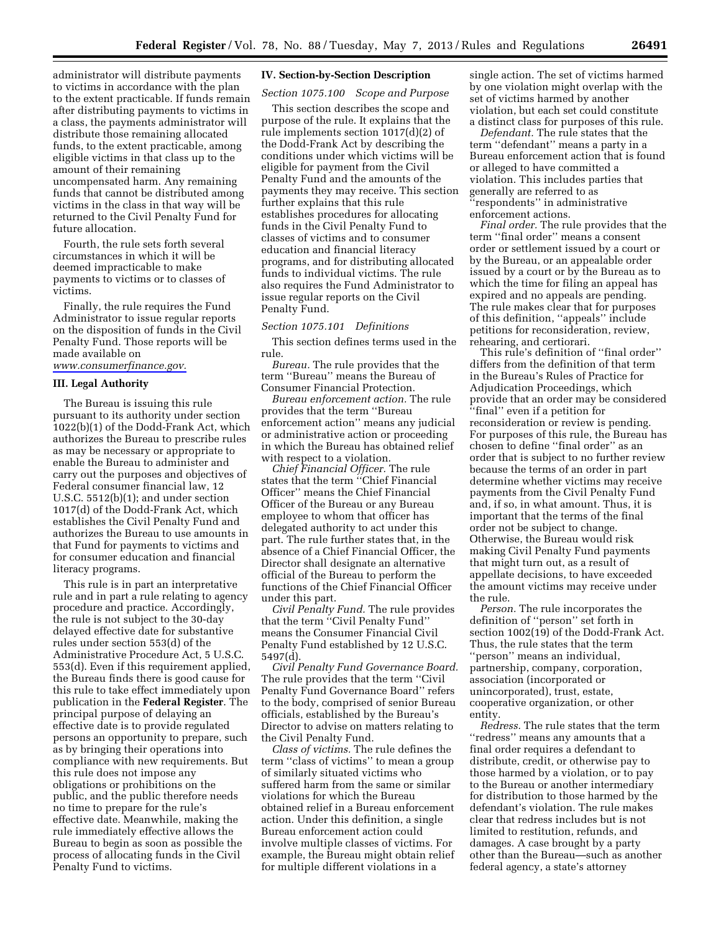administrator will distribute payments to victims in accordance with the plan to the extent practicable. If funds remain after distributing payments to victims in a class, the payments administrator will distribute those remaining allocated funds, to the extent practicable, among eligible victims in that class up to the amount of their remaining uncompensated harm. Any remaining funds that cannot be distributed among victims in the class in that way will be returned to the Civil Penalty Fund for future allocation.

Fourth, the rule sets forth several circumstances in which it will be deemed impracticable to make payments to victims or to classes of victims.

Finally, the rule requires the Fund Administrator to issue regular reports on the disposition of funds in the Civil Penalty Fund. Those reports will be made available on *[www.consumerfinance.gov.](http://www.consumerfinance.gov)* 

#### **III. Legal Authority**

The Bureau is issuing this rule pursuant to its authority under section 1022(b)(1) of the Dodd-Frank Act, which authorizes the Bureau to prescribe rules as may be necessary or appropriate to enable the Bureau to administer and carry out the purposes and objectives of Federal consumer financial law, 12 U.S.C. 5512(b)(1); and under section 1017(d) of the Dodd-Frank Act, which establishes the Civil Penalty Fund and authorizes the Bureau to use amounts in that Fund for payments to victims and for consumer education and financial literacy programs.

This rule is in part an interpretative rule and in part a rule relating to agency procedure and practice. Accordingly, the rule is not subject to the 30-day delayed effective date for substantive rules under section 553(d) of the Administrative Procedure Act, 5 U.S.C. 553(d). Even if this requirement applied, the Bureau finds there is good cause for this rule to take effect immediately upon publication in the **Federal Register**. The principal purpose of delaying an effective date is to provide regulated persons an opportunity to prepare, such as by bringing their operations into compliance with new requirements. But this rule does not impose any obligations or prohibitions on the public, and the public therefore needs no time to prepare for the rule's effective date. Meanwhile, making the rule immediately effective allows the Bureau to begin as soon as possible the process of allocating funds in the Civil Penalty Fund to victims.

## **IV. Section-by-Section Description**

#### *Section 1075.100 Scope and Purpose*

This section describes the scope and purpose of the rule. It explains that the rule implements section 1017(d)(2) of the Dodd-Frank Act by describing the conditions under which victims will be eligible for payment from the Civil Penalty Fund and the amounts of the payments they may receive. This section further explains that this rule establishes procedures for allocating funds in the Civil Penalty Fund to classes of victims and to consumer education and financial literacy programs, and for distributing allocated funds to individual victims. The rule also requires the Fund Administrator to issue regular reports on the Civil Penalty Fund.

#### *Section 1075.101 Definitions*

This section defines terms used in the rule.

*Bureau.* The rule provides that the term ''Bureau'' means the Bureau of Consumer Financial Protection.

*Bureau enforcement action.* The rule provides that the term ''Bureau enforcement action'' means any judicial or administrative action or proceeding in which the Bureau has obtained relief with respect to a violation.

*Chief Financial Officer.* The rule states that the term ''Chief Financial Officer'' means the Chief Financial Officer of the Bureau or any Bureau employee to whom that officer has delegated authority to act under this part. The rule further states that, in the absence of a Chief Financial Officer, the Director shall designate an alternative official of the Bureau to perform the functions of the Chief Financial Officer under this part.

*Civil Penalty Fund.* The rule provides that the term ''Civil Penalty Fund'' means the Consumer Financial Civil Penalty Fund established by 12 U.S.C. 5497(d).

*Civil Penalty Fund Governance Board.*  The rule provides that the term ''Civil Penalty Fund Governance Board'' refers to the body, comprised of senior Bureau officials, established by the Bureau's Director to advise on matters relating to the Civil Penalty Fund.

*Class of victims.* The rule defines the term ''class of victims'' to mean a group of similarly situated victims who suffered harm from the same or similar violations for which the Bureau obtained relief in a Bureau enforcement action. Under this definition, a single Bureau enforcement action could involve multiple classes of victims. For example, the Bureau might obtain relief for multiple different violations in a

single action. The set of victims harmed by one violation might overlap with the set of victims harmed by another violation, but each set could constitute a distinct class for purposes of this rule.

*Defendant.* The rule states that the term ''defendant'' means a party in a Bureau enforcement action that is found or alleged to have committed a violation. This includes parties that generally are referred to as ''respondents'' in administrative enforcement actions.

*Final order.* The rule provides that the term ''final order'' means a consent order or settlement issued by a court or by the Bureau, or an appealable order issued by a court or by the Bureau as to which the time for filing an appeal has expired and no appeals are pending. The rule makes clear that for purposes of this definition, ''appeals'' include petitions for reconsideration, review, rehearing, and certiorari.

This rule's definition of ''final order'' differs from the definition of that term in the Bureau's Rules of Practice for Adjudication Proceedings, which provide that an order may be considered ''final'' even if a petition for reconsideration or review is pending. For purposes of this rule, the Bureau has chosen to define ''final order'' as an order that is subject to no further review because the terms of an order in part determine whether victims may receive payments from the Civil Penalty Fund and, if so, in what amount. Thus, it is important that the terms of the final order not be subject to change. Otherwise, the Bureau would risk making Civil Penalty Fund payments that might turn out, as a result of appellate decisions, to have exceeded the amount victims may receive under the rule.

*Person.* The rule incorporates the definition of ''person'' set forth in section 1002(19) of the Dodd-Frank Act. Thus, the rule states that the term ''person'' means an individual, partnership, company, corporation, association (incorporated or unincorporated), trust, estate, cooperative organization, or other entity.

*Redress.* The rule states that the term ''redress'' means any amounts that a final order requires a defendant to distribute, credit, or otherwise pay to those harmed by a violation, or to pay to the Bureau or another intermediary for distribution to those harmed by the defendant's violation. The rule makes clear that redress includes but is not limited to restitution, refunds, and damages. A case brought by a party other than the Bureau—such as another federal agency, a state's attorney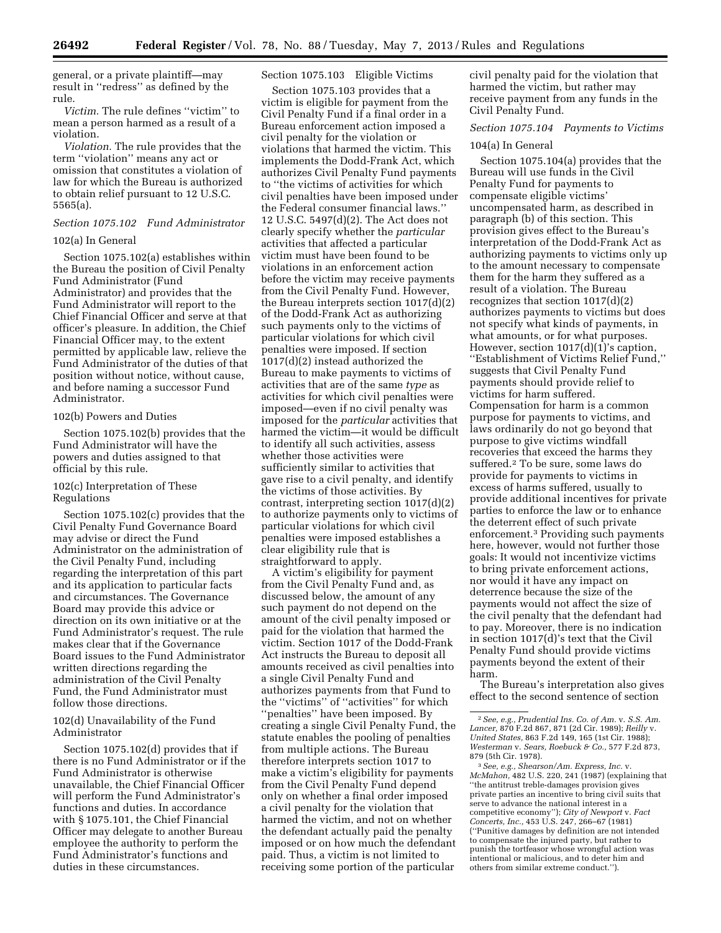general, or a private plaintiff—may result in ''redress'' as defined by the rule.

*Victim.* The rule defines ''victim'' to mean a person harmed as a result of a violation.

*Violation.* The rule provides that the term ''violation'' means any act or omission that constitutes a violation of law for which the Bureau is authorized to obtain relief pursuant to 12 U.S.C. 5565(a).

# *Section 1075.102 Fund Administrator*

## 102(a) In General

Section 1075.102(a) establishes within the Bureau the position of Civil Penalty Fund Administrator (Fund Administrator) and provides that the Fund Administrator will report to the Chief Financial Officer and serve at that officer's pleasure. In addition, the Chief Financial Officer may, to the extent permitted by applicable law, relieve the Fund Administrator of the duties of that position without notice, without cause, and before naming a successor Fund Administrator.

### 102(b) Powers and Duties

Section 1075.102(b) provides that the Fund Administrator will have the powers and duties assigned to that official by this rule.

## 102(c) Interpretation of These Regulations

Section 1075.102(c) provides that the Civil Penalty Fund Governance Board may advise or direct the Fund Administrator on the administration of the Civil Penalty Fund, including regarding the interpretation of this part and its application to particular facts and circumstances. The Governance Board may provide this advice or direction on its own initiative or at the Fund Administrator's request. The rule makes clear that if the Governance Board issues to the Fund Administrator written directions regarding the administration of the Civil Penalty Fund, the Fund Administrator must follow those directions.

## 102(d) Unavailability of the Fund Administrator

Section 1075.102(d) provides that if there is no Fund Administrator or if the Fund Administrator is otherwise unavailable, the Chief Financial Officer will perform the Fund Administrator's functions and duties. In accordance with § 1075.101, the Chief Financial Officer may delegate to another Bureau employee the authority to perform the Fund Administrator's functions and duties in these circumstances.

## Section 1075.103 Eligible Victims

Section 1075.103 provides that a victim is eligible for payment from the Civil Penalty Fund if a final order in a Bureau enforcement action imposed a civil penalty for the violation or violations that harmed the victim. This implements the Dodd-Frank Act, which authorizes Civil Penalty Fund payments to ''the victims of activities for which civil penalties have been imposed under the Federal consumer financial laws.'' 12 U.S.C. 5497(d)(2). The Act does not clearly specify whether the *particular*  activities that affected a particular victim must have been found to be violations in an enforcement action before the victim may receive payments from the Civil Penalty Fund. However, the Bureau interprets section 1017(d)(2) of the Dodd-Frank Act as authorizing such payments only to the victims of particular violations for which civil penalties were imposed. If section 1017(d)(2) instead authorized the Bureau to make payments to victims of activities that are of the same *type* as activities for which civil penalties were imposed—even if no civil penalty was imposed for the *particular* activities that harmed the victim—it would be difficult to identify all such activities, assess whether those activities were sufficiently similar to activities that gave rise to a civil penalty, and identify the victims of those activities. By contrast, interpreting section 1017(d)(2) to authorize payments only to victims of particular violations for which civil penalties were imposed establishes a clear eligibility rule that is straightforward to apply.

A victim's eligibility for payment from the Civil Penalty Fund and, as discussed below, the amount of any such payment do not depend on the amount of the civil penalty imposed or paid for the violation that harmed the victim. Section 1017 of the Dodd-Frank Act instructs the Bureau to deposit all amounts received as civil penalties into a single Civil Penalty Fund and authorizes payments from that Fund to the ''victims'' of ''activities'' for which ''penalties'' have been imposed. By creating a single Civil Penalty Fund, the statute enables the pooling of penalties from multiple actions. The Bureau therefore interprets section 1017 to make a victim's eligibility for payments from the Civil Penalty Fund depend only on whether a final order imposed a civil penalty for the violation that harmed the victim, and not on whether the defendant actually paid the penalty imposed or on how much the defendant paid. Thus, a victim is not limited to receiving some portion of the particular civil penalty paid for the violation that harmed the victim, but rather may receive payment from any funds in the Civil Penalty Fund.

## *Section 1075.104 Payments to Victims*

#### 104(a) In General

Section 1075.104(a) provides that the Bureau will use funds in the Civil Penalty Fund for payments to compensate eligible victims' uncompensated harm, as described in paragraph (b) of this section. This provision gives effect to the Bureau's interpretation of the Dodd-Frank Act as authorizing payments to victims only up to the amount necessary to compensate them for the harm they suffered as a result of a violation. The Bureau recognizes that section 1017(d)(2) authorizes payments to victims but does not specify what kinds of payments, in what amounts, or for what purposes. However, section 1017(d)(1)'s caption, ''Establishment of Victims Relief Fund,'' suggests that Civil Penalty Fund payments should provide relief to victims for harm suffered. Compensation for harm is a common purpose for payments to victims, and laws ordinarily do not go beyond that purpose to give victims windfall recoveries that exceed the harms they suffered.2 To be sure, some laws do provide for payments to victims in excess of harms suffered, usually to provide additional incentives for private parties to enforce the law or to enhance the deterrent effect of such private enforcement.3 Providing such payments here, however, would not further those goals: It would not incentivize victims to bring private enforcement actions, nor would it have any impact on deterrence because the size of the payments would not affect the size of the civil penalty that the defendant had to pay. Moreover, there is no indication in section 1017(d)'s text that the Civil Penalty Fund should provide victims payments beyond the extent of their harm.

The Bureau's interpretation also gives effect to the second sentence of section

879 (5th Cir. 1978). 3*See, e.g., Shearson/Am. Express, Inc.* v. *McMahon,* 482 U.S. 220, 241 (1987) (explaining that ''the antitrust treble-damages provision gives private parties an incentive to bring civil suits that serve to advance the national interest in a competitive economy''); *City of Newport* v. *Fact Concerts, Inc.,* 453 U.S. 247, 266–67 (1981) (''Punitive damages by definition are not intended to compensate the injured party, but rather to punish the tortfeasor whose wrongful action was intentional or malicious, and to deter him and others from similar extreme conduct.'').

<sup>2</sup>*See, e.g., Prudential Ins. Co. of Am.* v. *S.S. Am. Lancer,* 870 F.2d 867, 871 (2d Cir. 1989); *Reilly* v. *United States,* 863 F.2d 149, 165 (1st Cir. 1988); *Westerman* v. *Sears, Roebuck & Co.,* 577 F.2d 873,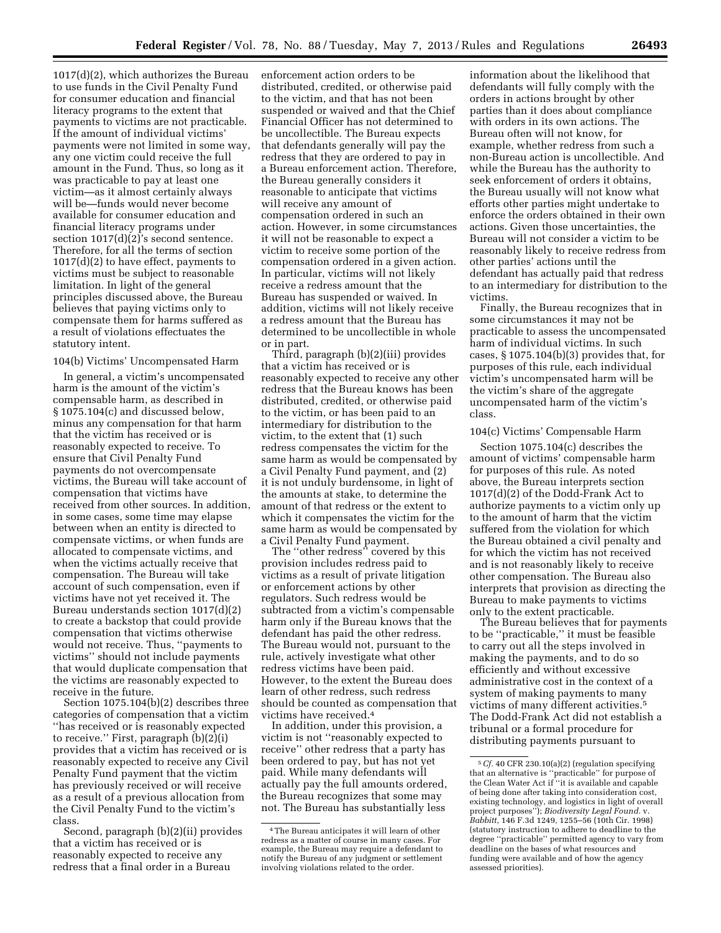1017(d)(2), which authorizes the Bureau to use funds in the Civil Penalty Fund for consumer education and financial literacy programs to the extent that payments to victims are not practicable. If the amount of individual victims' payments were not limited in some way, any one victim could receive the full amount in the Fund. Thus, so long as it was practicable to pay at least one victim—as it almost certainly always will be—funds would never become available for consumer education and financial literacy programs under section  $1017(d)(2)$ 's second sentence. Therefore, for all the terms of section 1017(d)(2) to have effect, payments to victims must be subject to reasonable limitation. In light of the general principles discussed above, the Bureau believes that paying victims only to compensate them for harms suffered as a result of violations effectuates the statutory intent.

## 104(b) Victims' Uncompensated Harm

In general, a victim's uncompensated harm is the amount of the victim's compensable harm, as described in § 1075.104(c) and discussed below, minus any compensation for that harm that the victim has received or is reasonably expected to receive. To ensure that Civil Penalty Fund payments do not overcompensate victims, the Bureau will take account of compensation that victims have received from other sources. In addition, in some cases, some time may elapse between when an entity is directed to compensate victims, or when funds are allocated to compensate victims, and when the victims actually receive that compensation. The Bureau will take account of such compensation, even if victims have not yet received it. The Bureau understands section 1017(d)(2) to create a backstop that could provide compensation that victims otherwise would not receive. Thus, ''payments to victims'' should not include payments that would duplicate compensation that the victims are reasonably expected to receive in the future.

Section 1075.104(b)(2) describes three categories of compensation that a victim ''has received or is reasonably expected to receive.'' First, paragraph (b)(2)(i) provides that a victim has received or is reasonably expected to receive any Civil Penalty Fund payment that the victim has previously received or will receive as a result of a previous allocation from the Civil Penalty Fund to the victim's class.

Second, paragraph (b)(2)(ii) provides that a victim has received or is reasonably expected to receive any redress that a final order in a Bureau

enforcement action orders to be distributed, credited, or otherwise paid to the victim, and that has not been suspended or waived and that the Chief Financial Officer has not determined to be uncollectible. The Bureau expects that defendants generally will pay the redress that they are ordered to pay in a Bureau enforcement action. Therefore, the Bureau generally considers it reasonable to anticipate that victims will receive any amount of compensation ordered in such an action. However, in some circumstances it will not be reasonable to expect a victim to receive some portion of the compensation ordered in a given action. In particular, victims will not likely receive a redress amount that the Bureau has suspended or waived. In addition, victims will not likely receive a redress amount that the Bureau has determined to be uncollectible in whole or in part.

Third, paragraph (b)(2)(iii) provides that a victim has received or is reasonably expected to receive any other redress that the Bureau knows has been distributed, credited, or otherwise paid to the victim, or has been paid to an intermediary for distribution to the victim, to the extent that (1) such redress compensates the victim for the same harm as would be compensated by a Civil Penalty Fund payment, and (2) it is not unduly burdensome, in light of the amounts at stake, to determine the amount of that redress or the extent to which it compensates the victim for the same harm as would be compensated by a Civil Penalty Fund payment.

The ''other redress'' covered by this provision includes redress paid to victims as a result of private litigation or enforcement actions by other regulators. Such redress would be subtracted from a victim's compensable harm only if the Bureau knows that the defendant has paid the other redress. The Bureau would not, pursuant to the rule, actively investigate what other redress victims have been paid. However, to the extent the Bureau does learn of other redress, such redress should be counted as compensation that victims have received.4

In addition, under this provision, a victim is not ''reasonably expected to receive'' other redress that a party has been ordered to pay, but has not yet paid. While many defendants will actually pay the full amounts ordered, the Bureau recognizes that some may not. The Bureau has substantially less

information about the likelihood that defendants will fully comply with the orders in actions brought by other parties than it does about compliance with orders in its own actions. The Bureau often will not know, for example, whether redress from such a non-Bureau action is uncollectible. And while the Bureau has the authority to seek enforcement of orders it obtains, the Bureau usually will not know what efforts other parties might undertake to enforce the orders obtained in their own actions. Given those uncertainties, the Bureau will not consider a victim to be reasonably likely to receive redress from other parties' actions until the defendant has actually paid that redress to an intermediary for distribution to the victims.

Finally, the Bureau recognizes that in some circumstances it may not be practicable to assess the uncompensated harm of individual victims. In such cases, § 1075.104(b)(3) provides that, for purposes of this rule, each individual victim's uncompensated harm will be the victim's share of the aggregate uncompensated harm of the victim's class.

### 104(c) Victims' Compensable Harm

Section 1075.104(c) describes the amount of victims' compensable harm for purposes of this rule. As noted above, the Bureau interprets section 1017(d)(2) of the Dodd-Frank Act to authorize payments to a victim only up to the amount of harm that the victim suffered from the violation for which the Bureau obtained a civil penalty and for which the victim has not received and is not reasonably likely to receive other compensation. The Bureau also interprets that provision as directing the Bureau to make payments to victims only to the extent practicable.

The Bureau believes that for payments to be ''practicable,'' it must be feasible to carry out all the steps involved in making the payments, and to do so efficiently and without excessive administrative cost in the context of a system of making payments to many victims of many different activities.5 The Dodd-Frank Act did not establish a tribunal or a formal procedure for distributing payments pursuant to

<sup>4</sup>The Bureau anticipates it will learn of other redress as a matter of course in many cases. For example, the Bureau may require a defendant to notify the Bureau of any judgment or settlement involving violations related to the order.

<sup>5</sup>*Cf.* 40 CFR 230.10(a)(2) (regulation specifying that an alternative is ''practicable'' for purpose of the Clean Water Act if ''it is available and capable of being done after taking into consideration cost, existing technology, and logistics in light of overall project purposes''); *Biodiversity Legal Found.* v. *Babbitt,* 146 F.3d 1249, 1255–56 (10th Cir. 1998) (statutory instruction to adhere to deadline to the degree ''practicable'' permitted agency to vary from deadline on the bases of what resources and funding were available and of how the agency assessed priorities).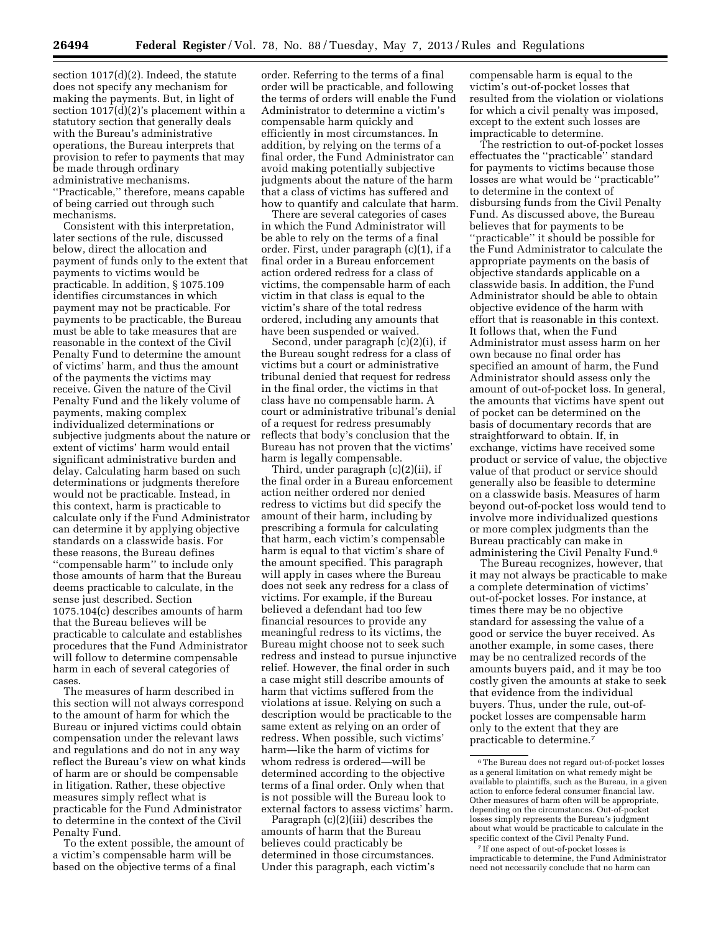section 1017(d)(2). Indeed, the statute does not specify any mechanism for making the payments. But, in light of section 1017(d)(2)'s placement within a statutory section that generally deals with the Bureau's administrative

operations, the Bureau interprets that provision to refer to payments that may be made through ordinary administrative mechanisms. ''Practicable,'' therefore, means capable of being carried out through such mechanisms.

Consistent with this interpretation, later sections of the rule, discussed below, direct the allocation and payment of funds only to the extent that payments to victims would be practicable. In addition, § 1075.109 identifies circumstances in which payment may not be practicable. For payments to be practicable, the Bureau must be able to take measures that are reasonable in the context of the Civil Penalty Fund to determine the amount of victims' harm, and thus the amount of the payments the victims may receive. Given the nature of the Civil Penalty Fund and the likely volume of payments, making complex individualized determinations or subjective judgments about the nature or extent of victims' harm would entail significant administrative burden and delay. Calculating harm based on such determinations or judgments therefore would not be practicable. Instead, in this context, harm is practicable to calculate only if the Fund Administrator can determine it by applying objective standards on a classwide basis. For these reasons, the Bureau defines ''compensable harm'' to include only those amounts of harm that the Bureau deems practicable to calculate, in the sense just described. Section 1075.104(c) describes amounts of harm that the Bureau believes will be practicable to calculate and establishes procedures that the Fund Administrator will follow to determine compensable harm in each of several categories of cases.

The measures of harm described in this section will not always correspond to the amount of harm for which the Bureau or injured victims could obtain compensation under the relevant laws and regulations and do not in any way reflect the Bureau's view on what kinds of harm are or should be compensable in litigation. Rather, these objective measures simply reflect what is practicable for the Fund Administrator to determine in the context of the Civil Penalty Fund.

To the extent possible, the amount of a victim's compensable harm will be based on the objective terms of a final

order. Referring to the terms of a final order will be practicable, and following the terms of orders will enable the Fund Administrator to determine a victim's compensable harm quickly and efficiently in most circumstances. In addition, by relying on the terms of a final order, the Fund Administrator can avoid making potentially subjective judgments about the nature of the harm that a class of victims has suffered and how to quantify and calculate that harm.

There are several categories of cases in which the Fund Administrator will be able to rely on the terms of a final order. First, under paragraph (c)(1), if a final order in a Bureau enforcement action ordered redress for a class of victims, the compensable harm of each victim in that class is equal to the victim's share of the total redress ordered, including any amounts that have been suspended or waived.

Second, under paragraph (c)(2)(i), if the Bureau sought redress for a class of victims but a court or administrative tribunal denied that request for redress in the final order, the victims in that class have no compensable harm. A court or administrative tribunal's denial of a request for redress presumably reflects that body's conclusion that the Bureau has not proven that the victims' harm is legally compensable.

Third, under paragraph (c)(2)(ii), if the final order in a Bureau enforcement action neither ordered nor denied redress to victims but did specify the amount of their harm, including by prescribing a formula for calculating that harm, each victim's compensable harm is equal to that victim's share of the amount specified. This paragraph will apply in cases where the Bureau does not seek any redress for a class of victims. For example, if the Bureau believed a defendant had too few financial resources to provide any meaningful redress to its victims, the Bureau might choose not to seek such redress and instead to pursue injunctive relief. However, the final order in such a case might still describe amounts of harm that victims suffered from the violations at issue. Relying on such a description would be practicable to the same extent as relying on an order of redress. When possible, such victims' harm—like the harm of victims for whom redress is ordered—will be determined according to the objective terms of a final order. Only when that is not possible will the Bureau look to external factors to assess victims' harm.

Paragraph (c)(2)(iii) describes the amounts of harm that the Bureau believes could practicably be determined in those circumstances. Under this paragraph, each victim's compensable harm is equal to the victim's out-of-pocket losses that resulted from the violation or violations for which a civil penalty was imposed, except to the extent such losses are impracticable to determine.

The restriction to out-of-pocket losses effectuates the ''practicable'' standard for payments to victims because those losses are what would be ''practicable'' to determine in the context of disbursing funds from the Civil Penalty Fund. As discussed above, the Bureau believes that for payments to be ''practicable'' it should be possible for the Fund Administrator to calculate the appropriate payments on the basis of objective standards applicable on a classwide basis. In addition, the Fund Administrator should be able to obtain objective evidence of the harm with effort that is reasonable in this context. It follows that, when the Fund Administrator must assess harm on her own because no final order has specified an amount of harm, the Fund Administrator should assess only the amount of out-of-pocket loss. In general, the amounts that victims have spent out of pocket can be determined on the basis of documentary records that are straightforward to obtain. If, in exchange, victims have received some product or service of value, the objective value of that product or service should generally also be feasible to determine on a classwide basis. Measures of harm beyond out-of-pocket loss would tend to involve more individualized questions or more complex judgments than the Bureau practicably can make in administering the Civil Penalty Fund.6

The Bureau recognizes, however, that it may not always be practicable to make a complete determination of victims' out-of-pocket losses. For instance, at times there may be no objective standard for assessing the value of a good or service the buyer received. As another example, in some cases, there may be no centralized records of the amounts buyers paid, and it may be too costly given the amounts at stake to seek that evidence from the individual buyers. Thus, under the rule, out-ofpocket losses are compensable harm only to the extent that they are practicable to determine.7

7 If one aspect of out-of-pocket losses is impracticable to determine, the Fund Administrator need not necessarily conclude that no harm can

 $^{\rm 6}$  The Bureau does not regard out-of-pocket losses as a general limitation on what remedy might be available to plaintiffs, such as the Bureau, in a given action to enforce federal consumer financial law. Other measures of harm often will be appropriate, depending on the circumstances. Out-of-pocket losses simply represents the Bureau's judgment about what would be practicable to calculate in the specific context of the Civil Penalty Fund.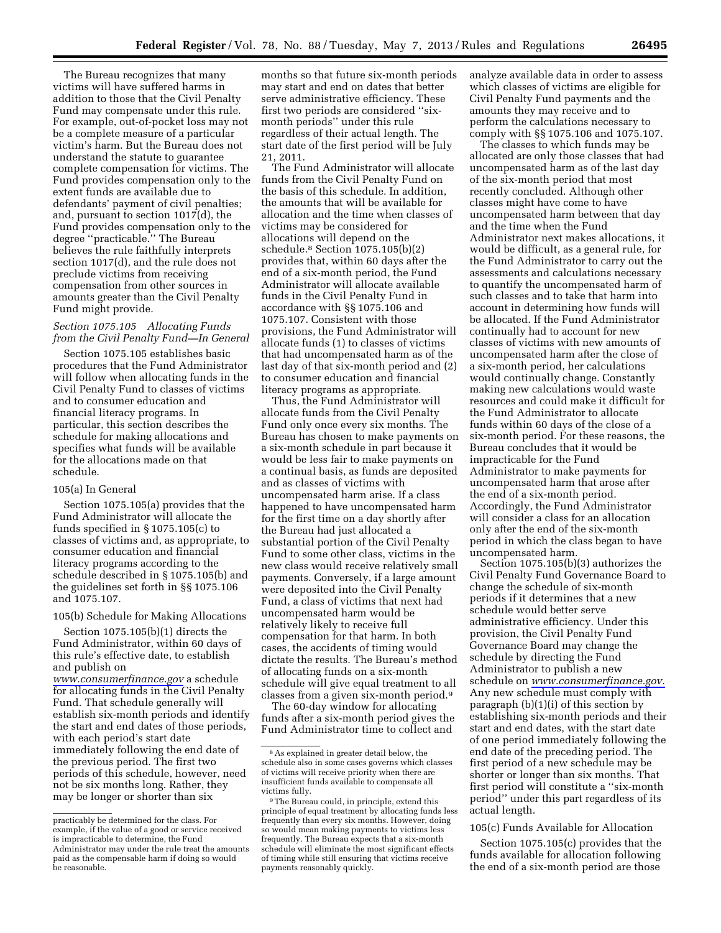The Bureau recognizes that many victims will have suffered harms in addition to those that the Civil Penalty Fund may compensate under this rule. For example, out-of-pocket loss may not be a complete measure of a particular victim's harm. But the Bureau does not understand the statute to guarantee complete compensation for victims. The Fund provides compensation only to the extent funds are available due to defendants' payment of civil penalties; and, pursuant to section 1017(d), the Fund provides compensation only to the degree ''practicable.'' The Bureau believes the rule faithfully interprets section 1017(d), and the rule does not preclude victims from receiving compensation from other sources in amounts greater than the Civil Penalty Fund might provide.

## *Section 1075.105 Allocating Funds from the Civil Penalty Fund—In General*

Section 1075.105 establishes basic procedures that the Fund Administrator will follow when allocating funds in the Civil Penalty Fund to classes of victims and to consumer education and financial literacy programs. In particular, this section describes the schedule for making allocations and specifies what funds will be available for the allocations made on that schedule.

### 105(a) In General

Section 1075.105(a) provides that the Fund Administrator will allocate the funds specified in § 1075.105(c) to classes of victims and, as appropriate, to consumer education and financial literacy programs according to the schedule described in § 1075.105(b) and the guidelines set forth in §§ 1075.106 and 1075.107.

### 105(b) Schedule for Making Allocations

Section 1075.105(b)(1) directs the Fund Administrator, within 60 days of this rule's effective date, to establish and publish on *[www.consumerfinance.gov](http://www.consumerfinance.gov)* a schedule for allocating funds in the Civil Penalty Fund. That schedule generally will establish six-month periods and identify the start and end dates of those periods, with each period's start date immediately following the end date of the previous period. The first two periods of this schedule, however, need not be six months long. Rather, they may be longer or shorter than six

months so that future six-month periods may start and end on dates that better serve administrative efficiency. These first two periods are considered ''sixmonth periods'' under this rule regardless of their actual length. The start date of the first period will be July 21, 2011.

The Fund Administrator will allocate funds from the Civil Penalty Fund on the basis of this schedule. In addition, the amounts that will be available for allocation and the time when classes of victims may be considered for allocations will depend on the schedule.8 Section 1075.105(b)(2) provides that, within 60 days after the end of a six-month period, the Fund Administrator will allocate available funds in the Civil Penalty Fund in accordance with §§ 1075.106 and 1075.107. Consistent with those provisions, the Fund Administrator will allocate funds (1) to classes of victims that had uncompensated harm as of the last day of that six-month period and (2) to consumer education and financial literacy programs as appropriate.

Thus, the Fund Administrator will allocate funds from the Civil Penalty Fund only once every six months. The Bureau has chosen to make payments on a six-month schedule in part because it would be less fair to make payments on a continual basis, as funds are deposited and as classes of victims with uncompensated harm arise. If a class happened to have uncompensated harm for the first time on a day shortly after the Bureau had just allocated a substantial portion of the Civil Penalty Fund to some other class, victims in the new class would receive relatively small payments. Conversely, if a large amount were deposited into the Civil Penalty Fund, a class of victims that next had uncompensated harm would be relatively likely to receive full compensation for that harm. In both cases, the accidents of timing would dictate the results. The Bureau's method of allocating funds on a six-month schedule will give equal treatment to all classes from a given six-month period.9

The 60-day window for allocating funds after a six-month period gives the Fund Administrator time to collect and

analyze available data in order to assess which classes of victims are eligible for Civil Penalty Fund payments and the amounts they may receive and to perform the calculations necessary to comply with §§ 1075.106 and 1075.107.

The classes to which funds may be allocated are only those classes that had uncompensated harm as of the last day of the six-month period that most recently concluded. Although other classes might have come to have uncompensated harm between that day and the time when the Fund Administrator next makes allocations, it would be difficult, as a general rule, for the Fund Administrator to carry out the assessments and calculations necessary to quantify the uncompensated harm of such classes and to take that harm into account in determining how funds will be allocated. If the Fund Administrator continually had to account for new classes of victims with new amounts of uncompensated harm after the close of a six-month period, her calculations would continually change. Constantly making new calculations would waste resources and could make it difficult for the Fund Administrator to allocate funds within 60 days of the close of a six-month period. For these reasons, the Bureau concludes that it would be impracticable for the Fund Administrator to make payments for uncompensated harm that arose after the end of a six-month period. Accordingly, the Fund Administrator will consider a class for an allocation only after the end of the six-month period in which the class began to have uncompensated harm.

Section 1075.105(b)(3) authorizes the Civil Penalty Fund Governance Board to change the schedule of six-month periods if it determines that a new schedule would better serve administrative efficiency. Under this provision, the Civil Penalty Fund Governance Board may change the schedule by directing the Fund Administrator to publish a new schedule on *[www.consumerfinance.gov.](http://www.consumerfinance.gov)*  Any new schedule must comply with paragraph (b)(1)(i) of this section by establishing six-month periods and their start and end dates, with the start date of one period immediately following the end date of the preceding period. The first period of a new schedule may be shorter or longer than six months. That first period will constitute a ''six-month period'' under this part regardless of its actual length.

## 105(c) Funds Available for Allocation

Section 1075.105(c) provides that the funds available for allocation following the end of a six-month period are those

practicably be determined for the class. For example, if the value of a good or service received is impracticable to determine, the Fund Administrator may under the rule treat the amounts paid as the compensable harm if doing so would be reasonable.

<sup>8</sup>As explained in greater detail below, the schedule also in some cases governs which classes of victims will receive priority when there are insufficient funds available to compensate all victims fully.

<sup>&</sup>lt;sup>9</sup>The Bureau could, in principle, extend this principle of equal treatment by allocating funds less frequently than every six months. However, doing so would mean making payments to victims less frequently. The Bureau expects that a six-month schedule will eliminate the most significant effects of timing while still ensuring that victims receive payments reasonably quickly.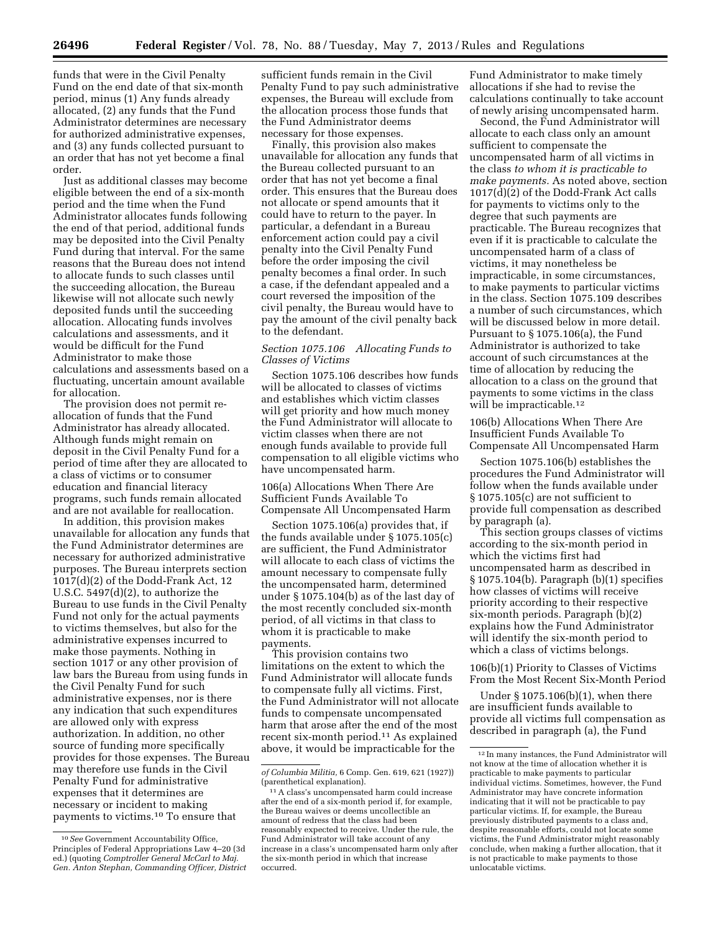funds that were in the Civil Penalty Fund on the end date of that six-month period, minus (1) Any funds already allocated, (2) any funds that the Fund Administrator determines are necessary for authorized administrative expenses, and (3) any funds collected pursuant to an order that has not yet become a final order.

Just as additional classes may become eligible between the end of a six-month period and the time when the Fund Administrator allocates funds following the end of that period, additional funds may be deposited into the Civil Penalty Fund during that interval. For the same reasons that the Bureau does not intend to allocate funds to such classes until the succeeding allocation, the Bureau likewise will not allocate such newly deposited funds until the succeeding allocation. Allocating funds involves calculations and assessments, and it would be difficult for the Fund Administrator to make those calculations and assessments based on a fluctuating, uncertain amount available for allocation.

The provision does not permit reallocation of funds that the Fund Administrator has already allocated. Although funds might remain on deposit in the Civil Penalty Fund for a period of time after they are allocated to a class of victims or to consumer education and financial literacy programs, such funds remain allocated and are not available for reallocation.

In addition, this provision makes unavailable for allocation any funds that the Fund Administrator determines are necessary for authorized administrative purposes. The Bureau interprets section 1017(d)(2) of the Dodd-Frank Act, 12 U.S.C. 5497(d)(2), to authorize the Bureau to use funds in the Civil Penalty Fund not only for the actual payments to victims themselves, but also for the administrative expenses incurred to make those payments. Nothing in section 1017 or any other provision of law bars the Bureau from using funds in the Civil Penalty Fund for such administrative expenses, nor is there any indication that such expenditures are allowed only with express authorization. In addition, no other source of funding more specifically provides for those expenses. The Bureau may therefore use funds in the Civil Penalty Fund for administrative expenses that it determines are necessary or incident to making payments to victims.10 To ensure that

sufficient funds remain in the Civil Penalty Fund to pay such administrative expenses, the Bureau will exclude from the allocation process those funds that the Fund Administrator deems necessary for those expenses.

Finally, this provision also makes unavailable for allocation any funds that the Bureau collected pursuant to an order that has not yet become a final order. This ensures that the Bureau does not allocate or spend amounts that it could have to return to the payer. In particular, a defendant in a Bureau enforcement action could pay a civil penalty into the Civil Penalty Fund before the order imposing the civil penalty becomes a final order. In such a case, if the defendant appealed and a court reversed the imposition of the civil penalty, the Bureau would have to pay the amount of the civil penalty back to the defendant.

*Section 1075.106 Allocating Funds to Classes of Victims* 

Section 1075.106 describes how funds will be allocated to classes of victims and establishes which victim classes will get priority and how much money the Fund Administrator will allocate to victim classes when there are not enough funds available to provide full compensation to all eligible victims who have uncompensated harm.

106(a) Allocations When There Are Sufficient Funds Available To Compensate All Uncompensated Harm

Section 1075.106(a) provides that, if the funds available under § 1075.105(c) are sufficient, the Fund Administrator will allocate to each class of victims the amount necessary to compensate fully the uncompensated harm, determined under § 1075.104(b) as of the last day of the most recently concluded six-month period, of all victims in that class to whom it is practicable to make payments.

This provision contains two limitations on the extent to which the Fund Administrator will allocate funds to compensate fully all victims. First, the Fund Administrator will not allocate funds to compensate uncompensated harm that arose after the end of the most recent six-month period.11 As explained above, it would be impracticable for the

Fund Administrator to make timely allocations if she had to revise the calculations continually to take account of newly arising uncompensated harm.

Second, the Fund Administrator will allocate to each class only an amount sufficient to compensate the uncompensated harm of all victims in the class *to whom it is practicable to make payments.* As noted above, section  $1017(\tilde{d})(2)$  of the Dodd-Frank Act calls for payments to victims only to the degree that such payments are practicable. The Bureau recognizes that even if it is practicable to calculate the uncompensated harm of a class of victims, it may nonetheless be impracticable, in some circumstances, to make payments to particular victims in the class. Section 1075.109 describes a number of such circumstances, which will be discussed below in more detail. Pursuant to § 1075.106(a), the Fund Administrator is authorized to take account of such circumstances at the time of allocation by reducing the allocation to a class on the ground that payments to some victims in the class will be impracticable.<sup>12</sup>

106(b) Allocations When There Are Insufficient Funds Available To Compensate All Uncompensated Harm

Section 1075.106(b) establishes the procedures the Fund Administrator will follow when the funds available under § 1075.105(c) are not sufficient to provide full compensation as described by paragraph (a).

This section groups classes of victims according to the six-month period in which the victims first had uncompensated harm as described in § 1075.104(b). Paragraph (b)(1) specifies how classes of victims will receive priority according to their respective six-month periods. Paragraph (b)(2) explains how the Fund Administrator will identify the six-month period to which a class of victims belongs.

106(b)(1) Priority to Classes of Victims From the Most Recent Six-Month Period

Under § 1075.106(b)(1), when there are insufficient funds available to provide all victims full compensation as described in paragraph (a), the Fund

<sup>10</sup>*See* Government Accountability Office, Principles of Federal Appropriations Law 4–20 (3d ed.) (quoting *Comptroller General McCarl to Maj. Gen. Anton Stephan, Commanding Officer, District* 

*of Columbia Militia,* 6 Comp. Gen. 619, 621 (1927)) (parenthetical explanation).

<sup>11</sup>A class's uncompensated harm could increase after the end of a six-month period if, for example, the Bureau waives or deems uncollectible an amount of redress that the class had been reasonably expected to receive. Under the rule, the Fund Administrator will take account of any increase in a class's uncompensated harm only after the six-month period in which that increase occurred.

<sup>12</sup> In many instances, the Fund Administrator will not know at the time of allocation whether it is practicable to make payments to particular individual victims. Sometimes, however, the Fund Administrator may have concrete information indicating that it will not be practicable to pay particular victims. If, for example, the Bureau previously distributed payments to a class and, despite reasonable efforts, could not locate some victims, the Fund Administrator might reasonably conclude, when making a further allocation, that it is not practicable to make payments to those unlocatable victims.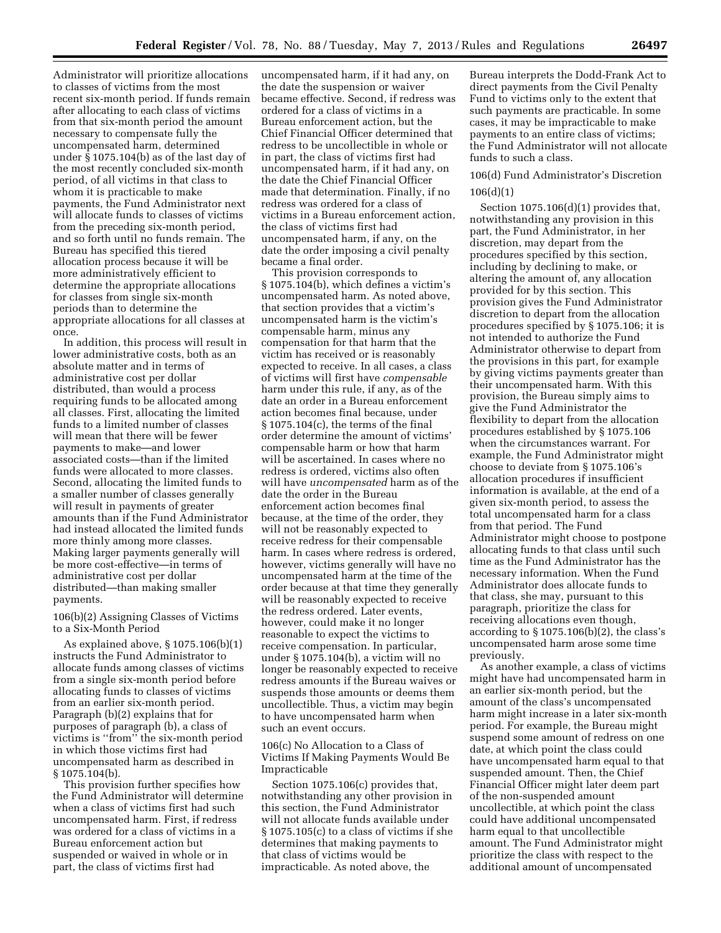Administrator will prioritize allocations to classes of victims from the most recent six-month period. If funds remain after allocating to each class of victims from that six-month period the amount necessary to compensate fully the uncompensated harm, determined under § 1075.104(b) as of the last day of the most recently concluded six-month period, of all victims in that class to whom it is practicable to make payments, the Fund Administrator next will allocate funds to classes of victims from the preceding six-month period, and so forth until no funds remain. The Bureau has specified this tiered allocation process because it will be more administratively efficient to determine the appropriate allocations for classes from single six-month periods than to determine the appropriate allocations for all classes at once.

In addition, this process will result in lower administrative costs, both as an absolute matter and in terms of administrative cost per dollar distributed, than would a process requiring funds to be allocated among all classes. First, allocating the limited funds to a limited number of classes will mean that there will be fewer payments to make—and lower associated costs—than if the limited funds were allocated to more classes. Second, allocating the limited funds to a smaller number of classes generally will result in payments of greater amounts than if the Fund Administrator had instead allocated the limited funds more thinly among more classes. Making larger payments generally will be more cost-effective—in terms of administrative cost per dollar distributed—than making smaller payments.

106(b)(2) Assigning Classes of Victims to a Six-Month Period

As explained above, § 1075.106(b)(1) instructs the Fund Administrator to allocate funds among classes of victims from a single six-month period before allocating funds to classes of victims from an earlier six-month period. Paragraph (b)(2) explains that for purposes of paragraph (b), a class of victims is ''from'' the six-month period in which those victims first had uncompensated harm as described in § 1075.104(b).

This provision further specifies how the Fund Administrator will determine when a class of victims first had such uncompensated harm. First, if redress was ordered for a class of victims in a Bureau enforcement action but suspended or waived in whole or in part, the class of victims first had

uncompensated harm, if it had any, on the date the suspension or waiver became effective. Second, if redress was ordered for a class of victims in a Bureau enforcement action, but the Chief Financial Officer determined that redress to be uncollectible in whole or in part, the class of victims first had uncompensated harm, if it had any, on the date the Chief Financial Officer made that determination. Finally, if no redress was ordered for a class of victims in a Bureau enforcement action, the class of victims first had uncompensated harm, if any, on the date the order imposing a civil penalty became a final order.

This provision corresponds to § 1075.104(b), which defines a victim's uncompensated harm. As noted above, that section provides that a victim's uncompensated harm is the victim's compensable harm, minus any compensation for that harm that the victim has received or is reasonably expected to receive. In all cases, a class of victims will first have *compensable*  harm under this rule, if any, as of the date an order in a Bureau enforcement action becomes final because, under § 1075.104(c), the terms of the final order determine the amount of victims' compensable harm or how that harm will be ascertained. In cases where no redress is ordered, victims also often will have *uncompensated* harm as of the date the order in the Bureau enforcement action becomes final because, at the time of the order, they will not be reasonably expected to receive redress for their compensable harm. In cases where redress is ordered, however, victims generally will have no uncompensated harm at the time of the order because at that time they generally will be reasonably expected to receive the redress ordered. Later events, however, could make it no longer reasonable to expect the victims to receive compensation. In particular, under § 1075.104(b), a victim will no longer be reasonably expected to receive redress amounts if the Bureau waives or suspends those amounts or deems them uncollectible. Thus, a victim may begin to have uncompensated harm when such an event occurs.

106(c) No Allocation to a Class of Victims If Making Payments Would Be Impracticable

Section 1075.106(c) provides that, notwithstanding any other provision in this section, the Fund Administrator will not allocate funds available under § 1075.105(c) to a class of victims if she determines that making payments to that class of victims would be impracticable. As noted above, the

Bureau interprets the Dodd-Frank Act to direct payments from the Civil Penalty Fund to victims only to the extent that such payments are practicable. In some cases, it may be impracticable to make payments to an entire class of victims; the Fund Administrator will not allocate funds to such a class.

# 106(d) Fund Administrator's Discretion 106(d)(1)

Section 1075.106(d)(1) provides that, notwithstanding any provision in this part, the Fund Administrator, in her discretion, may depart from the procedures specified by this section, including by declining to make, or altering the amount of, any allocation provided for by this section. This provision gives the Fund Administrator discretion to depart from the allocation procedures specified by § 1075.106; it is not intended to authorize the Fund Administrator otherwise to depart from the provisions in this part, for example by giving victims payments greater than their uncompensated harm. With this provision, the Bureau simply aims to give the Fund Administrator the flexibility to depart from the allocation procedures established by § 1075.106 when the circumstances warrant. For example, the Fund Administrator might choose to deviate from § 1075.106's allocation procedures if insufficient information is available, at the end of a given six-month period, to assess the total uncompensated harm for a class from that period. The Fund Administrator might choose to postpone allocating funds to that class until such time as the Fund Administrator has the necessary information. When the Fund Administrator does allocate funds to that class, she may, pursuant to this paragraph, prioritize the class for receiving allocations even though, according to  $\S 1075.106(b)(2)$ , the class's uncompensated harm arose some time previously.

As another example, a class of victims might have had uncompensated harm in an earlier six-month period, but the amount of the class's uncompensated harm might increase in a later six-month period. For example, the Bureau might suspend some amount of redress on one date, at which point the class could have uncompensated harm equal to that suspended amount. Then, the Chief Financial Officer might later deem part of the non-suspended amount uncollectible, at which point the class could have additional uncompensated harm equal to that uncollectible amount. The Fund Administrator might prioritize the class with respect to the additional amount of uncompensated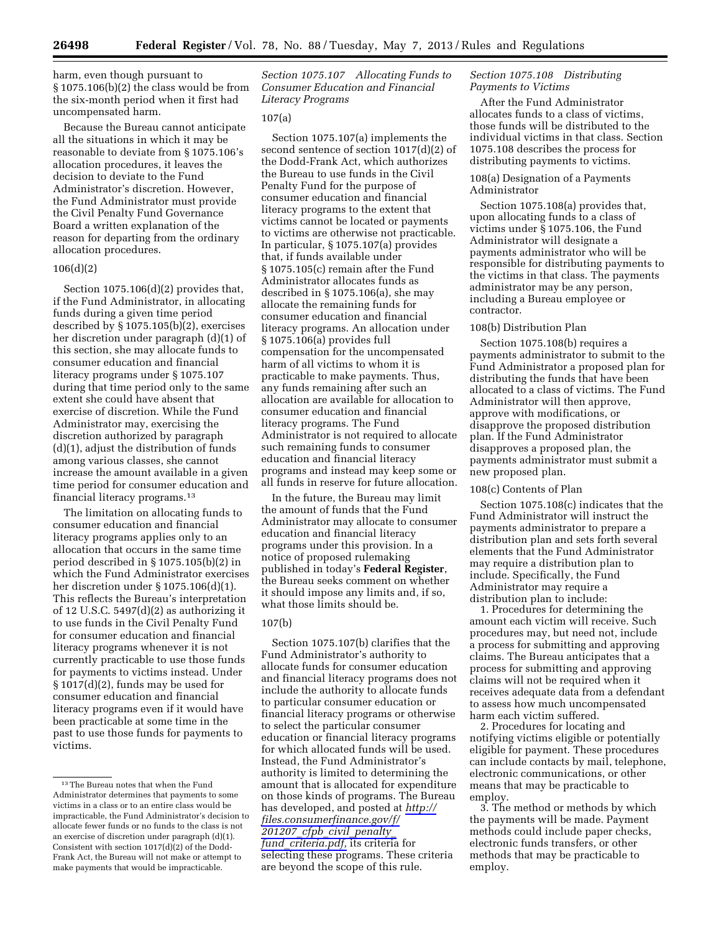harm, even though pursuant to  $\S 1075.106(b)(2)$  the class would be from the six-month period when it first had uncompensated harm.

Because the Bureau cannot anticipate all the situations in which it may be reasonable to deviate from § 1075.106's allocation procedures, it leaves the decision to deviate to the Fund Administrator's discretion. However, the Fund Administrator must provide the Civil Penalty Fund Governance Board a written explanation of the reason for departing from the ordinary allocation procedures.

#### 106(d)(2)

Section 1075.106(d)(2) provides that, if the Fund Administrator, in allocating funds during a given time period described by § 1075.105(b)(2), exercises her discretion under paragraph (d)(1) of this section, she may allocate funds to consumer education and financial literacy programs under § 1075.107 during that time period only to the same extent she could have absent that exercise of discretion. While the Fund Administrator may, exercising the discretion authorized by paragraph (d)(1), adjust the distribution of funds among various classes, she cannot increase the amount available in a given time period for consumer education and financial literacy programs.13

The limitation on allocating funds to consumer education and financial literacy programs applies only to an allocation that occurs in the same time period described in § 1075.105(b)(2) in which the Fund Administrator exercises her discretion under § 1075.106(d)(1). This reflects the Bureau's interpretation of 12 U.S.C.  $5497(d)(2)$  as authorizing it to use funds in the Civil Penalty Fund for consumer education and financial literacy programs whenever it is not currently practicable to use those funds for payments to victims instead. Under § 1017(d)(2), funds may be used for consumer education and financial literacy programs even if it would have been practicable at some time in the past to use those funds for payments to victims.

*Section 1075.107 Allocating Funds to Consumer Education and Financial Literacy Programs* 

### 107(a)

Section 1075.107(a) implements the second sentence of section 1017(d)(2) of the Dodd-Frank Act, which authorizes the Bureau to use funds in the Civil Penalty Fund for the purpose of consumer education and financial literacy programs to the extent that victims cannot be located or payments to victims are otherwise not practicable. In particular, § 1075.107(a) provides that, if funds available under § 1075.105(c) remain after the Fund Administrator allocates funds as described in § 1075.106(a), she may allocate the remaining funds for consumer education and financial literacy programs. An allocation under § 1075.106(a) provides full compensation for the uncompensated harm of all victims to whom it is practicable to make payments. Thus, any funds remaining after such an allocation are available for allocation to consumer education and financial literacy programs. The Fund Administrator is not required to allocate such remaining funds to consumer education and financial literacy programs and instead may keep some or all funds in reserve for future allocation.

In the future, the Bureau may limit the amount of funds that the Fund Administrator may allocate to consumer education and financial literacy programs under this provision. In a notice of proposed rulemaking published in today's **Federal Register**, the Bureau seeks comment on whether it should impose any limits and, if so, what those limits should be.

## 107(b)

Section 1075.107(b) clarifies that the Fund Administrator's authority to allocate funds for consumer education and financial literacy programs does not include the authority to allocate funds to particular consumer education or financial literacy programs or otherwise to select the particular consumer education or financial literacy programs for which allocated funds will be used. Instead, the Fund Administrator's authority is limited to determining the amount that is allocated for expenditure on those kinds of programs. The Bureau has developed, and posted at *[http://](http://files.consumerfinance.gov/f/201207_cfpb_civil_penalty_fund_criteria.pdf)  [files.consumerfinance.gov/f/](http://files.consumerfinance.gov/f/201207_cfpb_civil_penalty_fund_criteria.pdf)  201207*\_*cfpb*\_*civil*\_*[penalty](http://files.consumerfinance.gov/f/201207_cfpb_civil_penalty_fund_criteria.pdf)*\_ *fund*\_*[criteria.pdf,](http://files.consumerfinance.gov/f/201207_cfpb_civil_penalty_fund_criteria.pdf)* its criteria for selecting these programs. These criteria are beyond the scope of this rule.

## *Section 1075.108 Distributing Payments to Victims*

After the Fund Administrator allocates funds to a class of victims, those funds will be distributed to the individual victims in that class. Section 1075.108 describes the process for distributing payments to victims.

## 108(a) Designation of a Payments Administrator

Section 1075.108(a) provides that, upon allocating funds to a class of victims under § 1075.106, the Fund Administrator will designate a payments administrator who will be responsible for distributing payments to the victims in that class. The payments administrator may be any person, including a Bureau employee or contractor.

## 108(b) Distribution Plan

Section 1075.108(b) requires a payments administrator to submit to the Fund Administrator a proposed plan for distributing the funds that have been allocated to a class of victims. The Fund Administrator will then approve, approve with modifications, or disapprove the proposed distribution plan. If the Fund Administrator disapproves a proposed plan, the payments administrator must submit a new proposed plan.

#### 108(c) Contents of Plan

Section 1075.108(c) indicates that the Fund Administrator will instruct the payments administrator to prepare a distribution plan and sets forth several elements that the Fund Administrator may require a distribution plan to include. Specifically, the Fund Administrator may require a distribution plan to include:

1. Procedures for determining the amount each victim will receive. Such procedures may, but need not, include a process for submitting and approving claims. The Bureau anticipates that a process for submitting and approving claims will not be required when it receives adequate data from a defendant to assess how much uncompensated harm each victim suffered.

2. Procedures for locating and notifying victims eligible or potentially eligible for payment. These procedures can include contacts by mail, telephone, electronic communications, or other means that may be practicable to employ.

3. The method or methods by which the payments will be made. Payment methods could include paper checks, electronic funds transfers, or other methods that may be practicable to employ.

<sup>13</sup>The Bureau notes that when the Fund Administrator determines that payments to some victims in a class or to an entire class would be impracticable, the Fund Administrator's decision to allocate fewer funds or no funds to the class is not an exercise of discretion under paragraph (d)(1). Consistent with section 1017(d)(2) of the Dodd-Frank Act, the Bureau will not make or attempt to make payments that would be impracticable.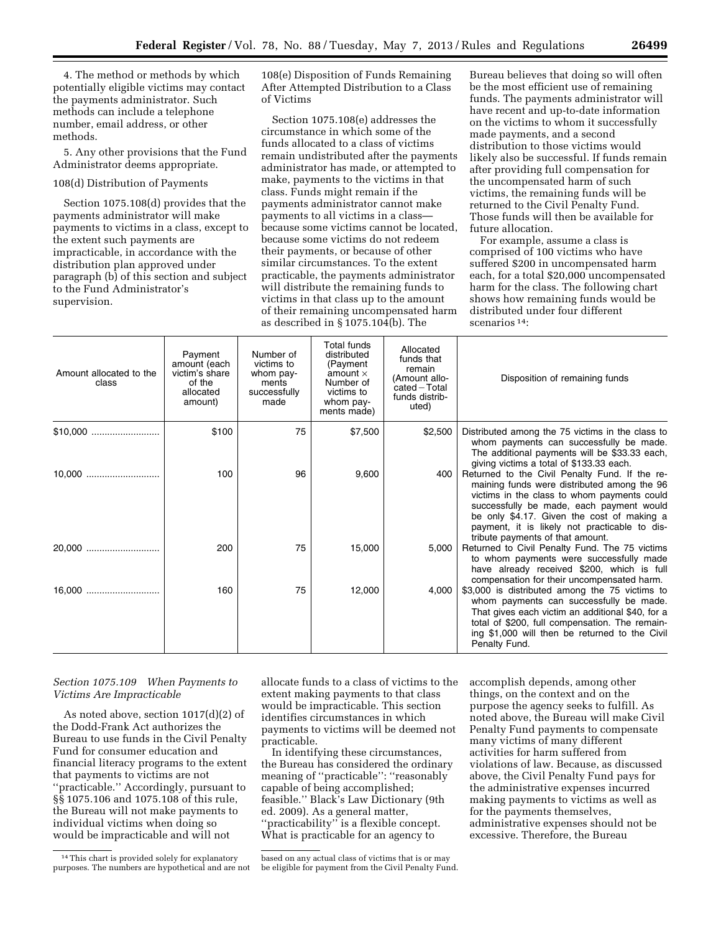4. The method or methods by which potentially eligible victims may contact the payments administrator. Such methods can include a telephone number, email address, or other methods.

5. Any other provisions that the Fund Administrator deems appropriate.

## 108(d) Distribution of Payments

Section 1075.108(d) provides that the payments administrator will make payments to victims in a class, except to the extent such payments are impracticable, in accordance with the distribution plan approved under paragraph (b) of this section and subject to the Fund Administrator's supervision.

108(e) Disposition of Funds Remaining After Attempted Distribution to a Class of Victims

Section 1075.108(e) addresses the circumstance in which some of the funds allocated to a class of victims remain undistributed after the payments administrator has made, or attempted to make, payments to the victims in that class. Funds might remain if the payments administrator cannot make payments to all victims in a class because some victims cannot be located, because some victims do not redeem their payments, or because of other similar circumstances. To the extent practicable, the payments administrator will distribute the remaining funds to victims in that class up to the amount of their remaining uncompensated harm as described in § 1075.104(b). The

Bureau believes that doing so will often be the most efficient use of remaining funds. The payments administrator will have recent and up-to-date information on the victims to whom it successfully made payments, and a second distribution to those victims would likely also be successful. If funds remain after providing full compensation for the uncompensated harm of such victims, the remaining funds will be returned to the Civil Penalty Fund. Those funds will then be available for future allocation.

For example, assume a class is comprised of 100 victims who have suffered \$200 in uncompensated harm each, for a total \$20,000 uncompensated harm for the class. The following chart shows how remaining funds would be distributed under four different scenarios 14:

| Amount allocated to the<br>class | Payment<br>amount (each<br>victim's share<br>of the<br>allocated<br>amount) | Number of<br>victims to<br>whom pay-<br>ments<br>successfully<br>made | Total funds<br>distributed<br>(Payment<br>amount $\times$<br>Number of<br>victims to<br>whom pay-<br>ments made) | Allocated<br>funds that<br>remain<br>(Amount allo-<br>$cated-Total$<br>funds distrib-<br>uted) | Disposition of remaining funds                                                                                                                                                                                                                                                                                              |
|----------------------------------|-----------------------------------------------------------------------------|-----------------------------------------------------------------------|------------------------------------------------------------------------------------------------------------------|------------------------------------------------------------------------------------------------|-----------------------------------------------------------------------------------------------------------------------------------------------------------------------------------------------------------------------------------------------------------------------------------------------------------------------------|
| $$10.000$                        | \$100                                                                       | 75                                                                    | \$7,500                                                                                                          | \$2,500                                                                                        | Distributed among the 75 victims in the class to<br>whom payments can successfully be made.<br>The additional payments will be \$33.33 each,<br>giving victims a total of \$133.33 each.                                                                                                                                    |
|                                  | 100                                                                         | 96                                                                    | 9,600                                                                                                            | 400                                                                                            | Returned to the Civil Penalty Fund. If the re-<br>maining funds were distributed among the 96<br>victims in the class to whom payments could<br>successfully be made, each payment would<br>be only \$4.17. Given the cost of making a<br>payment, it is likely not practicable to dis-<br>tribute payments of that amount. |
| 20.000                           | 200                                                                         | 75                                                                    | 15,000                                                                                                           | 5,000                                                                                          | Returned to Civil Penalty Fund. The 75 victims<br>to whom payments were successfully made<br>have already received \$200, which is full<br>compensation for their uncompensated harm.                                                                                                                                       |
| 16,000                           | 160                                                                         | 75                                                                    | 12,000                                                                                                           | 4,000                                                                                          | \$3,000 is distributed among the 75 victims to<br>whom payments can successfully be made.<br>That gives each victim an additional \$40, for a<br>total of \$200, full compensation. The remain-<br>ing \$1,000 will then be returned to the Civil<br>Penalty Fund.                                                          |

## *Section 1075.109 When Payments to Victims Are Impracticable*

As noted above, section 1017(d)(2) of the Dodd-Frank Act authorizes the Bureau to use funds in the Civil Penalty Fund for consumer education and financial literacy programs to the extent that payments to victims are not ''practicable.'' Accordingly, pursuant to §§ 1075.106 and 1075.108 of this rule, the Bureau will not make payments to individual victims when doing so would be impracticable and will not

allocate funds to a class of victims to the extent making payments to that class would be impracticable. This section identifies circumstances in which payments to victims will be deemed not practicable.

In identifying these circumstances, the Bureau has considered the ordinary meaning of ''practicable'': ''reasonably capable of being accomplished; feasible.'' Black's Law Dictionary (9th ed. 2009). As a general matter, ''practicability'' is a flexible concept. What is practicable for an agency to

based on any actual class of victims that is or may be eligible for payment from the Civil Penalty Fund. accomplish depends, among other things, on the context and on the purpose the agency seeks to fulfill. As noted above, the Bureau will make Civil Penalty Fund payments to compensate many victims of many different activities for harm suffered from violations of law. Because, as discussed above, the Civil Penalty Fund pays for the administrative expenses incurred making payments to victims as well as for the payments themselves, administrative expenses should not be excessive. Therefore, the Bureau

<sup>14</sup>This chart is provided solely for explanatory purposes. The numbers are hypothetical and are not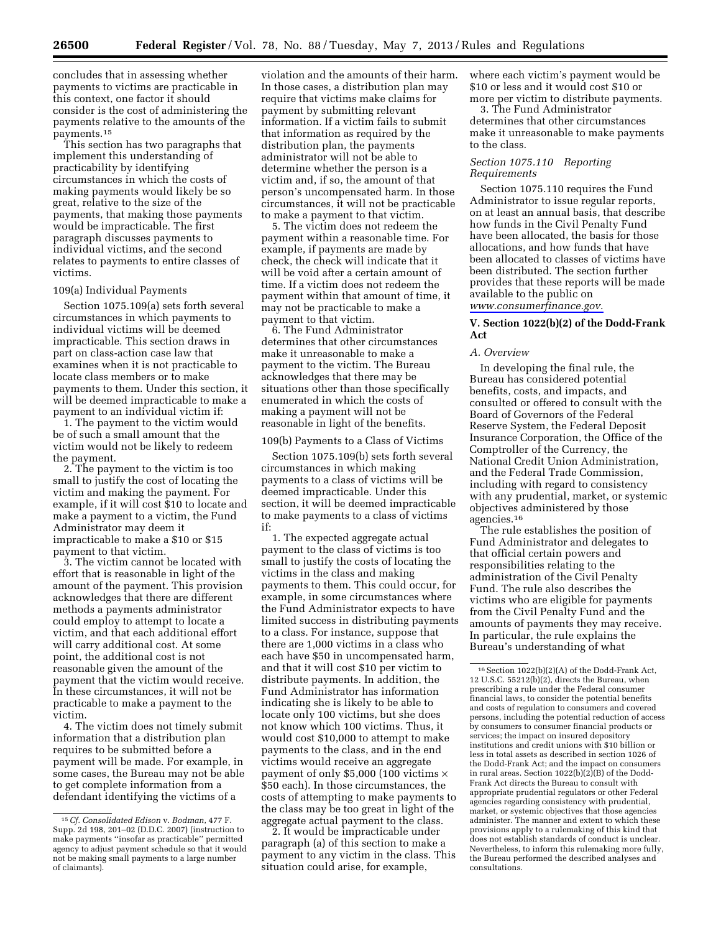concludes that in assessing whether payments to victims are practicable in this context, one factor it should consider is the cost of administering the payments relative to the amounts of the payments.15

This section has two paragraphs that implement this understanding of practicability by identifying circumstances in which the costs of making payments would likely be so great, relative to the size of the payments, that making those payments would be impracticable. The first paragraph discusses payments to individual victims, and the second relates to payments to entire classes of victims.

### 109(a) Individual Payments

Section 1075.109(a) sets forth several circumstances in which payments to individual victims will be deemed impracticable. This section draws in part on class-action case law that examines when it is not practicable to locate class members or to make payments to them. Under this section, it will be deemed impracticable to make a payment to an individual victim if:

1. The payment to the victim would be of such a small amount that the victim would not be likely to redeem the payment.

2. The payment to the victim is too small to justify the cost of locating the victim and making the payment. For example, if it will cost \$10 to locate and make a payment to a victim, the Fund Administrator may deem it impracticable to make a \$10 or \$15 payment to that victim.

3. The victim cannot be located with effort that is reasonable in light of the amount of the payment. This provision acknowledges that there are different methods a payments administrator could employ to attempt to locate a victim, and that each additional effort will carry additional cost. At some point, the additional cost is not reasonable given the amount of the payment that the victim would receive. In these circumstances, it will not be practicable to make a payment to the victim.

4. The victim does not timely submit information that a distribution plan requires to be submitted before a payment will be made. For example, in some cases, the Bureau may not be able to get complete information from a defendant identifying the victims of a

violation and the amounts of their harm. In those cases, a distribution plan may require that victims make claims for payment by submitting relevant information. If a victim fails to submit that information as required by the distribution plan, the payments administrator will not be able to determine whether the person is a victim and, if so, the amount of that person's uncompensated harm. In those circumstances, it will not be practicable to make a payment to that victim.

5. The victim does not redeem the payment within a reasonable time. For example, if payments are made by check, the check will indicate that it will be void after a certain amount of time. If a victim does not redeem the payment within that amount of time, it may not be practicable to make a payment to that victim.

6. The Fund Administrator determines that other circumstances make it unreasonable to make a payment to the victim. The Bureau acknowledges that there may be situations other than those specifically enumerated in which the costs of making a payment will not be reasonable in light of the benefits.

#### 109(b) Payments to a Class of Victims

Section 1075.109(b) sets forth several circumstances in which making payments to a class of victims will be deemed impracticable. Under this section, it will be deemed impracticable to make payments to a class of victims if:

1. The expected aggregate actual payment to the class of victims is too small to justify the costs of locating the victims in the class and making payments to them. This could occur, for example, in some circumstances where the Fund Administrator expects to have limited success in distributing payments to a class. For instance, suppose that there are 1,000 victims in a class who each have \$50 in uncompensated harm, and that it will cost \$10 per victim to distribute payments. In addition, the Fund Administrator has information indicating she is likely to be able to locate only 100 victims, but she does not know which 100 victims. Thus, it would cost \$10,000 to attempt to make payments to the class, and in the end victims would receive an aggregate payment of only \$5,000 (100 victims  $\times$ \$50 each). In those circumstances, the costs of attempting to make payments to the class may be too great in light of the aggregate actual payment to the class.

2. It would be impracticable under paragraph (a) of this section to make a payment to any victim in the class. This situation could arise, for example,

where each victim's payment would be \$10 or less and it would cost \$10 or more per victim to distribute payments.

3. The Fund Administrator determines that other circumstances make it unreasonable to make payments to the class.

## *Section 1075.110 Reporting Requirements*

Section 1075.110 requires the Fund Administrator to issue regular reports, on at least an annual basis, that describe how funds in the Civil Penalty Fund have been allocated, the basis for those allocations, and how funds that have been allocated to classes of victims have been distributed. The section further provides that these reports will be made available to the public on *[www.consumerfinance.gov.](http://www.consumerfinance.gov)* 

## **V. Section 1022(b)(2) of the Dodd-Frank Act**

### *A. Overview*

In developing the final rule, the Bureau has considered potential benefits, costs, and impacts, and consulted or offered to consult with the Board of Governors of the Federal Reserve System, the Federal Deposit Insurance Corporation, the Office of the Comptroller of the Currency, the National Credit Union Administration, and the Federal Trade Commission, including with regard to consistency with any prudential, market, or systemic objectives administered by those agencies.16

The rule establishes the position of Fund Administrator and delegates to that official certain powers and responsibilities relating to the administration of the Civil Penalty Fund. The rule also describes the victims who are eligible for payments from the Civil Penalty Fund and the amounts of payments they may receive. In particular, the rule explains the Bureau's understanding of what

<sup>15</sup>*Cf. Consolidated Edison* v. *Bodman,* 477 F. Supp. 2d 198, 201–02 (D.D.C. 2007) (instruction to make payments ''insofar as practicable'' permitted agency to adjust payment schedule so that it would not be making small payments to a large number of claimants).

 $16$  Section  $1022(b)(2)(A)$  of the Dodd-Frank Act, 12 U.S.C. 55212(b)(2), directs the Bureau, when prescribing a rule under the Federal consumer financial laws, to consider the potential benefits and costs of regulation to consumers and covered persons, including the potential reduction of access by consumers to consumer financial products or services; the impact on insured depository institutions and credit unions with \$10 billion or less in total assets as described in section 1026 of the Dodd-Frank Act; and the impact on consumers in rural areas. Section 1022(b)(2)(B) of the Dodd-Frank Act directs the Bureau to consult with appropriate prudential regulators or other Federal agencies regarding consistency with prudential, market, or systemic objectives that those agencies administer. The manner and extent to which these provisions apply to a rulemaking of this kind that does not establish standards of conduct is unclear. Nevertheless, to inform this rulemaking more fully, the Bureau performed the described analyses and consultations.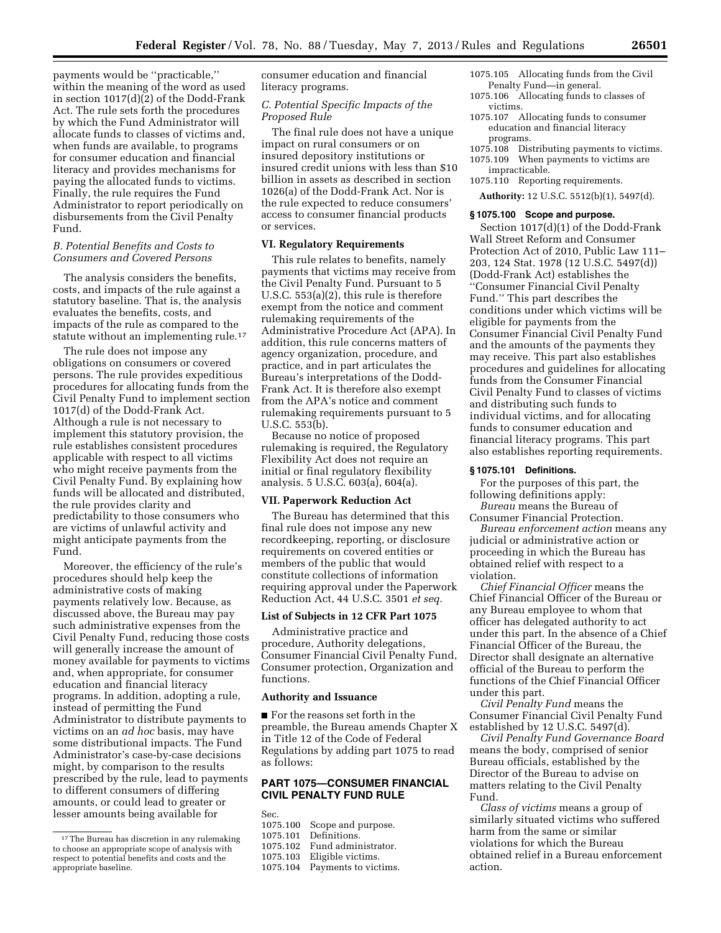payments would be ''practicable,'' within the meaning of the word as used in section 1017(d)(2) of the Dodd-Frank Act. The rule sets forth the procedures by which the Fund Administrator will allocate funds to classes of victims and, when funds are available, to programs for consumer education and financial literacy and provides mechanisms for paying the allocated funds to victims. Finally, the rule requires the Fund Administrator to report periodically on disbursements from the Civil Penalty Fund.

### *B. Potential Benefits and Costs to Consumers and Covered Persons*

The analysis considers the benefits, costs, and impacts of the rule against a statutory baseline. That is, the analysis evaluates the benefits, costs, and impacts of the rule as compared to the statute without an implementing rule.17

The rule does not impose any obligations on consumers or covered persons. The rule provides expeditious procedures for allocating funds from the Civil Penalty Fund to implement section 1017(d) of the Dodd-Frank Act. Although a rule is not necessary to implement this statutory provision, the rule establishes consistent procedures applicable with respect to all victims who might receive payments from the Civil Penalty Fund. By explaining how funds will be allocated and distributed, the rule provides clarity and predictability to those consumers who are victims of unlawful activity and might anticipate payments from the Fund.

Moreover, the efficiency of the rule's procedures should help keep the administrative costs of making payments relatively low. Because, as discussed above, the Bureau may pay such administrative expenses from the Civil Penalty Fund, reducing those costs will generally increase the amount of money available for payments to victims and, when appropriate, for consumer education and financial literacy programs. In addition, adopting a rule, instead of permitting the Fund Administrator to distribute payments to victims on an *ad hoc* basis, may have some distributional impacts. The Fund Administrator's case-by-case decisions might, by comparison to the results prescribed by the rule, lead to payments to different consumers of differing amounts, or could lead to greater or lesser amounts being available for

consumer education and financial literacy programs.

## *C. Potential Specific Impacts of the Proposed Rule*

The final rule does not have a unique impact on rural consumers or on insured depository institutions or insured credit unions with less than \$10 billion in assets as described in section 1026(a) of the Dodd-Frank Act. Nor is the rule expected to reduce consumers' access to consumer financial products or services.

## **VI. Regulatory Requirements**

This rule relates to benefits, namely payments that victims may receive from the Civil Penalty Fund. Pursuant to 5 U.S.C. 553(a)(2), this rule is therefore exempt from the notice and comment rulemaking requirements of the Administrative Procedure Act (APA). In addition, this rule concerns matters of agency organization, procedure, and practice, and in part articulates the Bureau's interpretations of the Dodd-Frank Act. It is therefore also exempt from the APA's notice and comment rulemaking requirements pursuant to 5 U.S.C. 553(b).

Because no notice of proposed rulemaking is required, the Regulatory Flexibility Act does not require an initial or final regulatory flexibility analysis. 5 U.S.C. 603(a), 604(a).

#### **VII. Paperwork Reduction Act**

The Bureau has determined that this final rule does not impose any new recordkeeping, reporting, or disclosure requirements on covered entities or members of the public that would constitute collections of information requiring approval under the Paperwork Reduction Act, 44 U.S.C. 3501 *et seq.* 

## **List of Subjects in 12 CFR Part 1075**

Administrative practice and procedure, Authority delegations, Consumer Financial Civil Penalty Fund, Consumer protection, Organization and functions.

## **Authority and Issuance**

■ For the reasons set forth in the preamble, the Bureau amends Chapter X in Title 12 of the Code of Federal Regulations by adding part 1075 to read as follows:

## **PART 1075—CONSUMER FINANCIAL CIVIL PENALTY FUND RULE**

- Sec.<br>1075.100 1075.100 Scope and purpose. 1075.101 Definitions. Fund administrator.
- 1075.103 Eligible victims.
- Payments to victims.
- 1075.105 Allocating funds from the Civil Penalty Fund—in general.
- 1075.106 Allocating funds to classes of victims.
- 1075.107 Allocating funds to consumer education and financial literacy programs.
- 1075.108 Distributing payments to victims. 1075.109 When payments to victims are
- impracticable.
- 1075.110 Reporting requirements.
- **Authority:** 12 U.S.C. 5512(b)(1), 5497(d).

#### **§ 1075.100 Scope and purpose.**

Section 1017(d)(1) of the Dodd-Frank Wall Street Reform and Consumer Protection Act of 2010, Public Law 111– 203, 124 Stat. 1978 (12 U.S.C. 5497(d)) (Dodd-Frank Act) establishes the ''Consumer Financial Civil Penalty Fund.'' This part describes the conditions under which victims will be eligible for payments from the Consumer Financial Civil Penalty Fund and the amounts of the payments they may receive. This part also establishes procedures and guidelines for allocating funds from the Consumer Financial Civil Penalty Fund to classes of victims and distributing such funds to individual victims, and for allocating funds to consumer education and financial literacy programs. This part also establishes reporting requirements.

## **§ 1075.101 Definitions.**

For the purposes of this part, the following definitions apply:

*Bureau* means the Bureau of Consumer Financial Protection.

*Bureau enforcement action* means any judicial or administrative action or proceeding in which the Bureau has obtained relief with respect to a violation.

*Chief Financial Officer* means the Chief Financial Officer of the Bureau or any Bureau employee to whom that officer has delegated authority to act under this part. In the absence of a Chief Financial Officer of the Bureau, the Director shall designate an alternative official of the Bureau to perform the functions of the Chief Financial Officer under this part.

*Civil Penalty Fund* means the Consumer Financial Civil Penalty Fund established by 12 U.S.C. 5497(d).

*Civil Penalty Fund Governance Board*  means the body, comprised of senior Bureau officials, established by the Director of the Bureau to advise on matters relating to the Civil Penalty Fund.

*Class of victims* means a group of similarly situated victims who suffered harm from the same or similar violations for which the Bureau obtained relief in a Bureau enforcement action.

<sup>17</sup>The Bureau has discretion in any rulemaking to choose an appropriate scope of analysis with respect to potential benefits and costs and the appropriate baseline.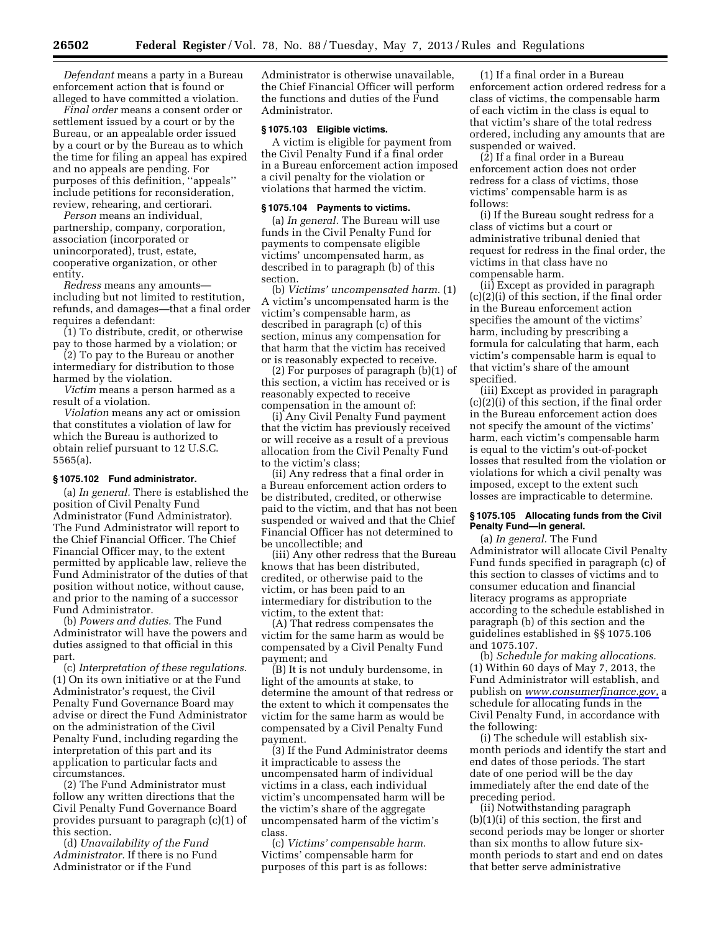*Defendant* means a party in a Bureau enforcement action that is found or alleged to have committed a violation.

*Final order* means a consent order or settlement issued by a court or by the Bureau, or an appealable order issued by a court or by the Bureau as to which the time for filing an appeal has expired and no appeals are pending. For purposes of this definition, ''appeals'' include petitions for reconsideration, review, rehearing, and certiorari.

*Person* means an individual, partnership, company, corporation, association (incorporated or unincorporated), trust, estate, cooperative organization, or other entity.

*Redress* means any amounts including but not limited to restitution, refunds, and damages—that a final order requires a defendant:

(1) To distribute, credit, or otherwise pay to those harmed by a violation; or

(2) To pay to the Bureau or another intermediary for distribution to those harmed by the violation.

*Victim* means a person harmed as a result of a violation.

*Violation* means any act or omission that constitutes a violation of law for which the Bureau is authorized to obtain relief pursuant to 12 U.S.C. 5565(a).

## **§ 1075.102 Fund administrator.**

(a) *In general.* There is established the position of Civil Penalty Fund Administrator (Fund Administrator). The Fund Administrator will report to the Chief Financial Officer. The Chief Financial Officer may, to the extent permitted by applicable law, relieve the Fund Administrator of the duties of that position without notice, without cause, and prior to the naming of a successor Fund Administrator.

(b) *Powers and duties.* The Fund Administrator will have the powers and duties assigned to that official in this part.

(c) *Interpretation of these regulations.*  (1) On its own initiative or at the Fund Administrator's request, the Civil Penalty Fund Governance Board may advise or direct the Fund Administrator on the administration of the Civil Penalty Fund, including regarding the interpretation of this part and its application to particular facts and circumstances.

(2) The Fund Administrator must follow any written directions that the Civil Penalty Fund Governance Board provides pursuant to paragraph (c)(1) of this section.

(d) *Unavailability of the Fund Administrator.* If there is no Fund Administrator or if the Fund

Administrator is otherwise unavailable, the Chief Financial Officer will perform the functions and duties of the Fund Administrator.

## **§ 1075.103 Eligible victims.**

A victim is eligible for payment from the Civil Penalty Fund if a final order in a Bureau enforcement action imposed a civil penalty for the violation or violations that harmed the victim.

#### **§ 1075.104 Payments to victims.**

(a) *In general.* The Bureau will use funds in the Civil Penalty Fund for payments to compensate eligible victims' uncompensated harm, as described in to paragraph (b) of this section.

(b) *Victims' uncompensated harm.* (1) A victim's uncompensated harm is the victim's compensable harm, as described in paragraph (c) of this section, minus any compensation for that harm that the victim has received or is reasonably expected to receive.

(2) For purposes of paragraph (b)(1) of this section, a victim has received or is reasonably expected to receive compensation in the amount of:

(i) Any Civil Penalty Fund payment that the victim has previously received or will receive as a result of a previous allocation from the Civil Penalty Fund to the victim's class;

(ii) Any redress that a final order in a Bureau enforcement action orders to be distributed, credited, or otherwise paid to the victim, and that has not been suspended or waived and that the Chief Financial Officer has not determined to be uncollectible; and

(iii) Any other redress that the Bureau knows that has been distributed, credited, or otherwise paid to the victim, or has been paid to an intermediary for distribution to the victim, to the extent that:

(A) That redress compensates the victim for the same harm as would be compensated by a Civil Penalty Fund payment; and

(B) It is not unduly burdensome, in light of the amounts at stake, to determine the amount of that redress or the extent to which it compensates the victim for the same harm as would be compensated by a Civil Penalty Fund payment.

(3) If the Fund Administrator deems it impracticable to assess the uncompensated harm of individual victims in a class, each individual victim's uncompensated harm will be the victim's share of the aggregate uncompensated harm of the victim's class.

(c) *Victims' compensable harm.*  Victims' compensable harm for purposes of this part is as follows:

(1) If a final order in a Bureau enforcement action ordered redress for a class of victims, the compensable harm of each victim in the class is equal to that victim's share of the total redress ordered, including any amounts that are suspended or waived.

(2) If a final order in a Bureau enforcement action does not order redress for a class of victims, those victims' compensable harm is as follows:

(i) If the Bureau sought redress for a class of victims but a court or administrative tribunal denied that request for redress in the final order, the victims in that class have no compensable harm.

(ii) Except as provided in paragraph (c)(2)(i) of this section, if the final order in the Bureau enforcement action specifies the amount of the victims' harm, including by prescribing a formula for calculating that harm, each victim's compensable harm is equal to that victim's share of the amount specified.

(iii) Except as provided in paragraph (c)(2)(i) of this section, if the final order in the Bureau enforcement action does not specify the amount of the victims' harm, each victim's compensable harm is equal to the victim's out-of-pocket losses that resulted from the violation or violations for which a civil penalty was imposed, except to the extent such losses are impracticable to determine.

## **§ 1075.105 Allocating funds from the Civil Penalty Fund—in general.**

(a) *In general.* The Fund Administrator will allocate Civil Penalty Fund funds specified in paragraph (c) of this section to classes of victims and to consumer education and financial literacy programs as appropriate according to the schedule established in paragraph (b) of this section and the guidelines established in §§ 1075.106 and 1075.107.

(b) *Schedule for making allocations.*  (1) Within 60 days of May 7, 2013, the Fund Administrator will establish, and publish on *[www.consumerfinance.gov](http://www.consumerfinance.gov)*, a schedule for allocating funds in the Civil Penalty Fund, in accordance with the following:

(i) The schedule will establish sixmonth periods and identify the start and end dates of those periods. The start date of one period will be the day immediately after the end date of the preceding period.

(ii) Notwithstanding paragraph (b)(1)(i) of this section, the first and second periods may be longer or shorter than six months to allow future sixmonth periods to start and end on dates that better serve administrative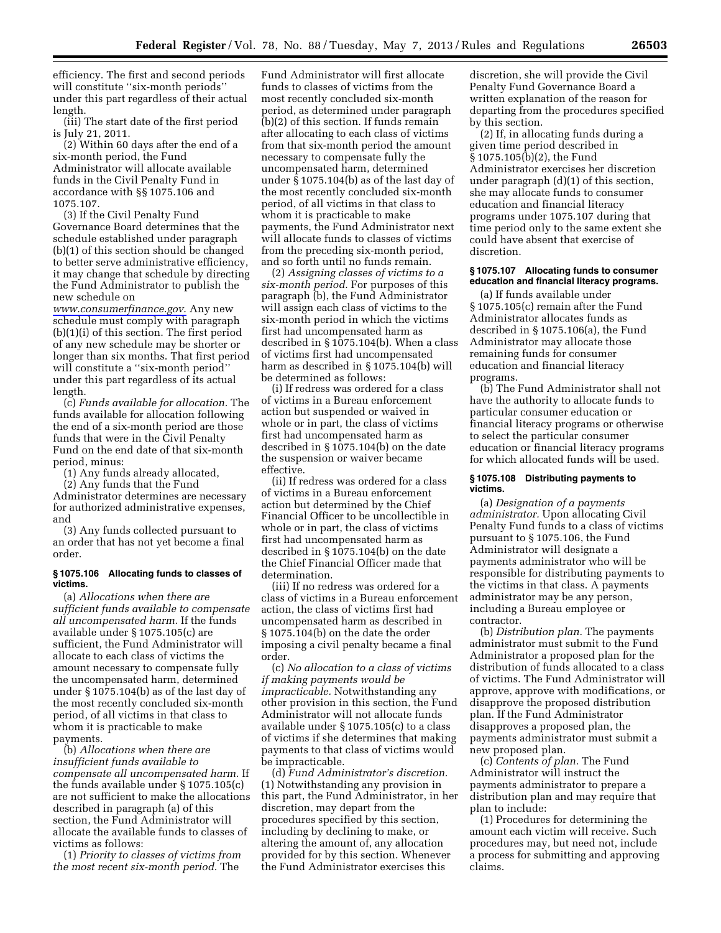efficiency. The first and second periods will constitute "six-month periods" under this part regardless of their actual length.

(iii) The start date of the first period is July 21, 2011.

(2) Within 60 days after the end of a six-month period, the Fund Administrator will allocate available funds in the Civil Penalty Fund in accordance with §§ 1075.106 and 1075.107.

(3) If the Civil Penalty Fund Governance Board determines that the schedule established under paragraph (b)(1) of this section should be changed to better serve administrative efficiency, it may change that schedule by directing the Fund Administrator to publish the new schedule on

*[www.consumerfinance.gov](http://www.consumerfinance.gov)*. Any new schedule must comply with paragraph (b)(1)(i) of this section. The first period of any new schedule may be shorter or longer than six months. That first period will constitute a "six-month period" under this part regardless of its actual length.

(c) *Funds available for allocation.* The funds available for allocation following the end of a six-month period are those funds that were in the Civil Penalty Fund on the end date of that six-month period, minus:

(1) Any funds already allocated,

(2) Any funds that the Fund

Administrator determines are necessary for authorized administrative expenses, and

(3) Any funds collected pursuant to an order that has not yet become a final order.

#### **§ 1075.106 Allocating funds to classes of victims.**

(a) *Allocations when there are sufficient funds available to compensate all uncompensated harm.* If the funds available under § 1075.105(c) are sufficient, the Fund Administrator will allocate to each class of victims the amount necessary to compensate fully the uncompensated harm, determined under § 1075.104(b) as of the last day of the most recently concluded six-month period, of all victims in that class to whom it is practicable to make payments.

(b) *Allocations when there are insufficient funds available to compensate all uncompensated harm.* If the funds available under § 1075.105(c) are not sufficient to make the allocations described in paragraph (a) of this section, the Fund Administrator will allocate the available funds to classes of victims as follows:

(1) *Priority to classes of victims from the most recent six-month period.* The

Fund Administrator will first allocate funds to classes of victims from the most recently concluded six-month period, as determined under paragraph (b)(2) of this section. If funds remain after allocating to each class of victims from that six-month period the amount necessary to compensate fully the uncompensated harm, determined under § 1075.104(b) as of the last day of the most recently concluded six-month period, of all victims in that class to whom it is practicable to make payments, the Fund Administrator next will allocate funds to classes of victims from the preceding six-month period, and so forth until no funds remain.

(2) *Assigning classes of victims to a six-month period.* For purposes of this paragraph (b), the Fund Administrator will assign each class of victims to the six-month period in which the victims first had uncompensated harm as described in § 1075.104(b). When a class of victims first had uncompensated harm as described in § 1075.104(b) will be determined as follows:

(i) If redress was ordered for a class of victims in a Bureau enforcement action but suspended or waived in whole or in part, the class of victims first had uncompensated harm as described in § 1075.104(b) on the date the suspension or waiver became effective.

(ii) If redress was ordered for a class of victims in a Bureau enforcement action but determined by the Chief Financial Officer to be uncollectible in whole or in part, the class of victims first had uncompensated harm as described in § 1075.104(b) on the date the Chief Financial Officer made that determination.

(iii) If no redress was ordered for a class of victims in a Bureau enforcement action, the class of victims first had uncompensated harm as described in § 1075.104(b) on the date the order imposing a civil penalty became a final order.

(c) *No allocation to a class of victims if making payments would be impracticable.* Notwithstanding any other provision in this section, the Fund Administrator will not allocate funds available under § 1075.105(c) to a class of victims if she determines that making payments to that class of victims would be impracticable.

(d) *Fund Administrator's discretion.*  (1) Notwithstanding any provision in this part, the Fund Administrator, in her discretion, may depart from the procedures specified by this section, including by declining to make, or altering the amount of, any allocation provided for by this section. Whenever the Fund Administrator exercises this

discretion, she will provide the Civil Penalty Fund Governance Board a written explanation of the reason for departing from the procedures specified by this section.

(2) If, in allocating funds during a given time period described in § 1075.105(b)(2), the Fund Administrator exercises her discretion under paragraph (d)(1) of this section, she may allocate funds to consumer education and financial literacy programs under 1075.107 during that time period only to the same extent she could have absent that exercise of discretion.

## **§ 1075.107 Allocating funds to consumer education and financial literacy programs.**

(a) If funds available under § 1075.105(c) remain after the Fund Administrator allocates funds as described in § 1075.106(a), the Fund Administrator may allocate those remaining funds for consumer education and financial literacy programs.

(b) The Fund Administrator shall not have the authority to allocate funds to particular consumer education or financial literacy programs or otherwise to select the particular consumer education or financial literacy programs for which allocated funds will be used.

### **§ 1075.108 Distributing payments to victims.**

(a) *Designation of a payments administrator.* Upon allocating Civil Penalty Fund funds to a class of victims pursuant to § 1075.106, the Fund Administrator will designate a payments administrator who will be responsible for distributing payments to the victims in that class. A payments administrator may be any person, including a Bureau employee or contractor.

(b) *Distribution plan.* The payments administrator must submit to the Fund Administrator a proposed plan for the distribution of funds allocated to a class of victims. The Fund Administrator will approve, approve with modifications, or disapprove the proposed distribution plan. If the Fund Administrator disapproves a proposed plan, the payments administrator must submit a new proposed plan.

(c) *Contents of plan.* The Fund Administrator will instruct the payments administrator to prepare a distribution plan and may require that plan to include:

(1) Procedures for determining the amount each victim will receive. Such procedures may, but need not, include a process for submitting and approving claims.